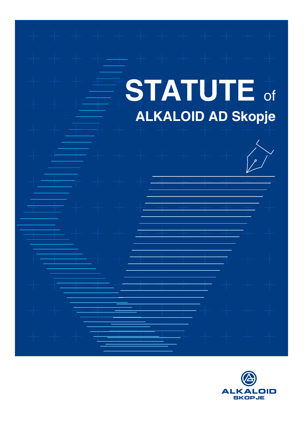# **STATUTE** of **ALKALOID AD Skopje**

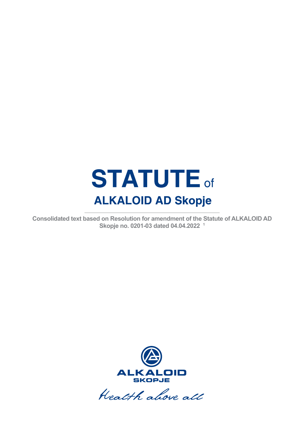## **STATUTE of ALKALOID AD Skopje**

**[Consolidated text based on Resolution for amendment of the Statute of ALKALOID AD](#page-55-0)  Skopje no. 0201-03 dated 04.04.2022 1**



Health above all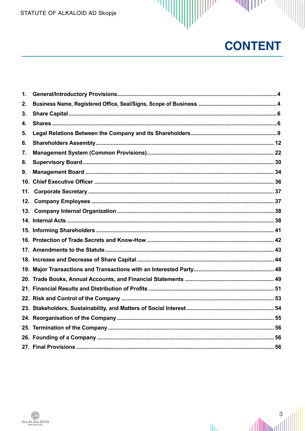STATUTE OF ALKALOID AD Skopje



## **CONTENT**

 $\left(\left|\left|\left|\left|\right|\right|\right|\right|\right)$ 

| 1.  |  |
|-----|--|
| 2.  |  |
| 3.  |  |
| 4.  |  |
| 5.  |  |
| 6.  |  |
| 7.  |  |
| 8.  |  |
| 9.  |  |
| 10. |  |
| 11. |  |
| 12. |  |
|     |  |
|     |  |
|     |  |
|     |  |
|     |  |
|     |  |
|     |  |
|     |  |
|     |  |
|     |  |
|     |  |
|     |  |
|     |  |
|     |  |
|     |  |



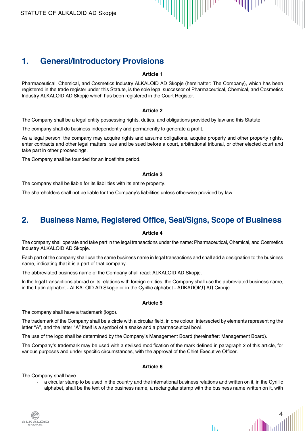

## <span id="page-3-0"></span>**1. General/Introductory Provisions**

#### **Article 1**

Pharmaceutical, Chemical, and Cosmetics Industry ALKALOID AD Skopje (hereinafter: The Company), which has been registered in the trade register under this Statute, is the sole legal successor of Pharmaceutical, Chemical, and Cosmetics Industry ALKALOID AD Skopje which has been registered in the Court Register.

#### **Article 2**

The Company shall be a legal entity possessing rights, duties, and obligations provided by law and this Statute.

The company shall do business independently and permanently to generate a profit.

As a legal person, the company may acquire rights and assume obligations, acquire property and other property rights, enter contracts and other legal matters, sue and be sued before a court, arbitrational tribunal, or other elected court and take part in other proceedings.

The Company shall be founded for an indefinite period.

#### **Article 3**

The company shall be liable for its liabilities with its entire property.

The shareholders shall not be liable for the Company's liabilities unless otherwise provided by law.

## **2. Business Name, Registered Office, Seal/Signs, Scope of Business**

#### **Article 4**

The company shall operate and take part in the legal transactions under the name: Pharmaceutical, Chemical, and Cosmetics Industry ALKALOID AD Skopje.

Each part of the company shall use the same business name in legal transactions and shall add a designation to the business name, indicating that it is a part of that company.

The abbreviated business name of the Company shall read: ALKALOID AD Skopje.

In the legal transactions abroad or its relations with foreign entities, the Company shall use the abbreviated business name, in the Latin alphabet - ALKALOID AD Skopje or in the Cyrillic alphabet - АЛКАЛОИД АД Скопје.

#### **Article 5**

The company shall have a trademark (logo).

The trademark of the Company shall be a circle with a circular field, in one colour, intersected by elements representing the letter "A", and the letter "A" itself is a symbol of a snake and a pharmaceutical bowl.

The use of the logo shall be determined by the Company's Management Board (hereinafter: Management Board).

The Company's trademark may be used with a stylised modification of the mark defined in paragraph 2 of this article, for various purposes and under specific circumstances, with the approval of the Chief Executive Officer.

#### **Article 6**

The Company shall have:

ALIZAL OID

a circular stamp to be used in the country and the international business relations and written on it, in the Cyrillic alphabet, shall be the text of the business name, a rectangular stamp with the business name written on it, with

4

allMa<sub>matt</sub>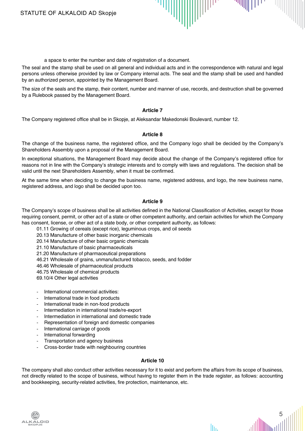

The seal and the stamp shall be used on all general and individual acts and in the correspondence with natural and legal persons unless otherwise provided by law or Company internal acts. The seal and the stamp shall be used and handled by an authorized person, appointed by the Management Board.

The size of the seals and the stamp, their content, number and manner of use, records, and destruction shall be governed by a Rulebook passed by the Management Board.

#### **Article 7**

The Company registered office shall be in Skopje, at Aleksandar Makedonski Boulevard, number 12.

#### **Article 8**

The change of the business name, the registered office, and the Company logo shall be decided by the Company's Shareholders Assembly upon a proposal of the Management Board.

In exceptional situations, the Management Board may decide about the change of the Company's registered office for reasons not in line with the Company's strategic interests and to comply with laws and regulations. The decision shall be valid until the next Shareholders Assembly, when it must be confirmed.

At the same time when deciding to change the business name, registered address, and logo, the new business name, registered address, and logo shall be decided upon too.

#### **Article 9**

The Company's scope of business shall be all activities defined in the National Classification of Activities, except for those requiring consent, permit, or other act of а state or other competent authority, and certain activities for which the Company has consent, license, or other act of a state body, or other competent authority, as follows:

01.11 Growing of cereals (except rice), leguminous crops, and oil seeds

20.13 Manufacture of other basic inorganic chemicals

20.14 Manufacture of other basic organic chemicals

21.10 Manufacture of basic pharmaceuticals

21.20 Manufacture of pharmaceutical preparations

46.21 Wholesale of grains, unmanufactured tobacco, seeds, and fodder

46.46 Wholesale of pharmaceutical products

46.75 Wholesale of chemical products

- 69.10/4 Other legal activities
- International commercial activities:
- International trade in food products
- International trade in non-food products
- Intermediation in international trade/re-export
- Intermediation in international and domestic trade
- Representation of foreign and domestic companies
- International carriage of goods
- International forwarding
- Transportation and agency business
- Cross-border trade with neighbouring countries

#### **Article 10**

The company shall also conduct other activities necessary for it to exist and perform the affairs from its scope of business, not directly related to the scope of business, without having to register them in the trade register, as follows: accounting and bookkeeping, security-related activities, fire protection, maintenance, etc.

5

ad Million d

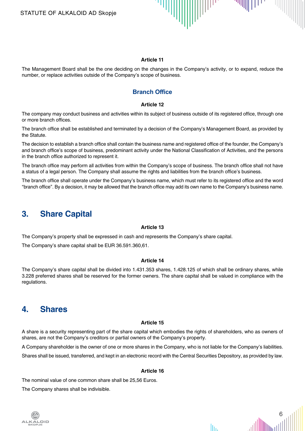

6

**Allinari** 

Iщ.

#### **Article 11**

<span id="page-5-0"></span>The Management Board shall be the one deciding on the changes in the Company's activity, or to expand, reduce the number, or replace activities outside of the Company's scope of business.

#### **Branch Office**

#### **Article 12**

The company may conduct business and activities within its subject of business outside of its registered office, through one or more branch offices.

The branch office shall be established and terminated by a decision of the Company's Management Board, as provided by the Statute.

The decision to establish a branch office shall contain the business name and registered office of the founder, the Company's and branch office's scope of business, predominant activity under the National Classification of Activities, and the persons in the branch office authorized to represent it.

The branch office may perform all activities from within the Company's scope of business. The branch office shall not have a status of a legal person. The Company shall assume the rights and liabilities from the branch office's business.

The branch office shall operate under the Company's business name, which must refer to its registered office and the word "branch office". By a decision, it may be allowed that the branch office may add its own name to the Company's business name.

## **3. Share Capital**

#### **Article 13**

The Company's property shall be expressed in cash and represents the Company's share capital.

The Company's share capital shall be EUR 36.591.360,61.

#### **Article 14**

The Company's share capital shall be divided into 1.431.353 shares, 1.428.125 of which shall be ordinary shares, while 3.228 preferred shares shall be reserved for the former owners. The share capital shall be valued in compliance with the regulations.

## **4. Shares**

#### **Article 15**

A share is a security representing part of the share capital which embodies the rights of shareholders, who as owners of shares, are not the Company's creditors or partial owners of the Company's property.

A Company shareholder is the owner of one or more shares in the Company, who is not liable for the Company's liabilities.

Shares shall be issued, transferred, and kept in an electronic record with the Central Securities Depository, as provided by law.

#### **Article 16**

The nominal value of one common share shall be 25,56 Euros.

The Company shares shall be indivisible.

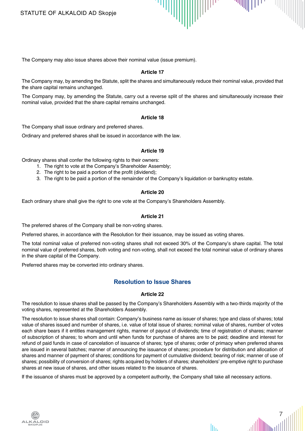

#### **Article 17**

The Company may, by amending the Statute, split the shares and simultaneously reduce their nominal value, provided that the share capital remains unchanged.

The Company may, by amending the Statute, carry out a reverse split of the shares and simultaneously increase their nominal value, provided that the share capital remains unchanged.

#### **Article 18**

The Company shall issue ordinary and preferred shares.

Ordinary and preferred shares shall be issued in accordance with the law.

#### **Article 19**

Ordinary shares shall confer the following rights to their owners:

- 1. The right to vote at the Company's Shareholder Assembly;
- 2. The right to be paid a portion of the profit (dividend);
- 3. The right to be paid a portion of the remainder of the Company's liquidation or bankruptcy estate.

#### **Article 20**

Each ordinary share shall give the right to one vote at the Company's Shareholders Assembly.

#### **Article 21**

The preferred shares of the Company shall be non-voting shares.

Preferred shares, in accordance with the Resolution for their issuance, may be issued as voting shares.

The total nominal value of preferred non-voting shares shall not exceed 30% of the Company's share capital. The total nominal value of preferred shares, both voting and non-voting, shall not exceed the total nominal value of ordinary shares in the share capital of the Company.

Preferred shares may be converted into ordinary shares.

#### **Resolution to Issue Shares**

#### **Article 22**

The resolution to issue shares shall be passed by the Company's Shareholders Assembly with a two-thirds majority of the voting shares, represented at the Shareholders Assembly.

The resolution to issue shares shall contain: Company's business name as issuer of shares; type and class of shares; total value of shares issued and number of shares, i.e. value of total issue of shares; nominal value of shares, number of votes each share bears if it entitles management rights, manner of payout of dividends; time of registration of shares; manner of subscription of shares; to whom and until when funds for purchase of shares are to be paid; deadline and interest for refund of paid funds in case of cancelation of issuance of shares; type of shares; order of primacy when preferred shares are issued in several batches; manner of announcing the issuance of shares; procedure for distribution and allocation of shares and manner of payment of shares; conditions for payment of cumulative dividend; bearing of risk; manner of use of shares; possibility of conversion of shares; rights acquired by holders of shares; shareholders' pre-emptive right to purchase shares at new issue of shares, and other issues related to the issuance of shares.

If the issuance of shares must be approved by a competent authority, the Company shall take all necessary actions.

7

all**in**and

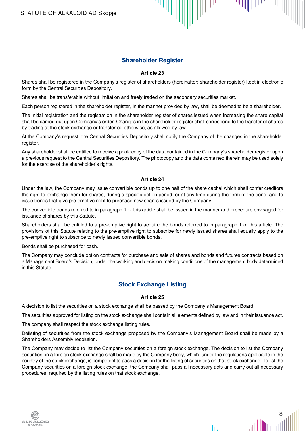

Ш

Ш

#### **Article 23**

Shares shall be registered in the Company's register of shareholders (hereinafter: shareholder register) kept in electronic form by the Central Securities Depository.

Shares shall be transferable without limitation and freely traded on the secondary securities market.

Each person registered in the shareholder register, in the manner provided by law, shall be deemed to be a shareholder.

The initial registration and the registration in the shareholder register of shares issued when increasing the share capital shall be carried out upon Company's order. Changes in the shareholder register shall correspond to the transfer of shares by trading at the stock exchange or transferred otherwise, as allowed by law.

At the Company's request, the Central Securities Depository shall notify the Company of the changes in the shareholder register.

Any shareholder shall be entitled to receive a photocopy of the data contained in the Company's shareholder register upon a previous request to the Central Securities Depository. The photocopy and the data contained therein may be used solely for the exercise of the shareholder's rights.

#### **Article 24**

Under the law, the Company may issue convertible bonds up to one half of the share capital which shall confer creditors the right to exchange them for shares, during a specific option period, or at any time during the term of the bond, and to issue bonds that give pre-emptive right to purchase new shares issued by the Company.

The convertible bonds referred to in paragraph 1 of this article shall be issued in the manner and procedure envisaged for issuance of shares by this Statute.

Shareholders shall be entitled to a pre-emptive right to acquire the bonds referred to in paragraph 1 of this article. The provisions of this Statute relating to the pre-emptive right to subscribe for newly issued shares shall equally apply to the pre-emptive right to subscribe to newly issued convertible bonds.

Bonds shall be purchased for cash.

The Company may conclude option contracts for purchase and sale of shares and bonds and futures contracts based on a Management Board's Decision, under the working and decision-making conditions of the management body determined in this Statute.

#### **Stock Exchange Listing**

#### **Article 25**

А decision to list the securities on a stock exchange shall be passed by the Company's Management Board.

The securities approved for listing on the stock exchange shall contain all elements defined by law and in their issuance act.

The company shall respect the stock exchange listing rules.

Delisting of securities from the stock exchange proposed by the Company's Management Board shall be made by a Shareholders Assembly resolution.

The Company may decide to list the Company securities on a foreign stock exchange. The decision to list the Company securities on a foreign stock exchange shall be made by the Company body, which, under the regulations applicable in the country of the stock exchange, is competent to pass a decision for the listing of securities on that stock exchange. To list the Company securities on a foreign stock exchange, the Company shall pass all necessary acts and carry out all necessary procedures, required by the listing rules on that stock exchange.

8

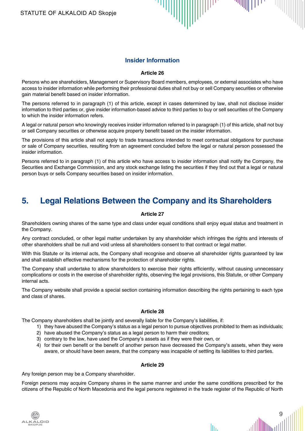

чн

#### **Article 26**

<span id="page-8-0"></span>Persons who are shareholders, Management or Supervisory Board members, employees, or external associates who have access to insider information while performing their professional duties shall not buy or sell Company securities or otherwise gain material benefit based on insider information.

The persons referred to in paragraph (1) of this article, except in cases determined by law, shall not disclose insider information to third parties or, give insider information-based advice to third parties to buy or sell securities of the Company to which the insider information refers.

A legal or natural person who knowingly receives insider information referred to in paragraph (1) of this article, shall not buy or sell Company securities or otherwise acquire property benefit based on the insider information.

The provisions of this article shall not apply to trade transactions intended to meet contractual obligations for purchase or sale of Company securities, resulting from an agreement concluded before the legal or natural person possessed the insider information.

Persons referred to in paragraph (1) of this article who have access to insider information shall notify the Company, the Securities and Exchange Commission, and any stock exchange listing the securities if they find out that a legal or natural person buys or sells Company securities based on insider information.

### **5. Legal Relations Between the Company and its Shareholders**

#### **Article 27**

Shareholders owning shares of the same type and class under equal conditions shall enjoy equal status and treatment in the Company.

Any contract concluded, or other legal matter undertaken by any shareholder which infringes the rights and interests of other shareholders shall be null and void unless all shareholders consent to that contract or legal matter.

With this Statute or its internal acts, the Company shall recognise and observe all shareholder rights guaranteed by law and shall establish effective mechanisms for the protection of shareholder rights.

The Company shall undertake to allow shareholders to exercise their rights efficiently, without causing unnecessary complications or costs in the exercise of shareholder rights, observing the legal provisions, this Statute, or other Company internal acts.

The Company website shall provide a special section containing information describing the rights pertaining to each type and class of shares.

#### **Article 28**

The Company shareholders shall be jointly and severally liable for the Company's liabilities, if:

- 1) they have abused the Company's status as a legal person to pursue objectives prohibited to them as individuals;
- 2) have abused the Company's status as a legal person to harm their creditors;
- 3) contrary to the law, have used the Company's assets as if they were their own, or
- 4) for their own benefit or the benefit of another person have decreased the Company's assets, when they were aware, or should have been aware, that the company was incapable of settling its liabilities to third parties.

#### **Article 29**

Any foreign person may be a Company shareholder.

ALIZAL OID

Foreign persons may acquire Company shares in the same manner and under the same conditions prescribed for the citizens of the Republic of North Macedonia and the legal persons registered in the trade register of the Republic of North

9

التسااااااان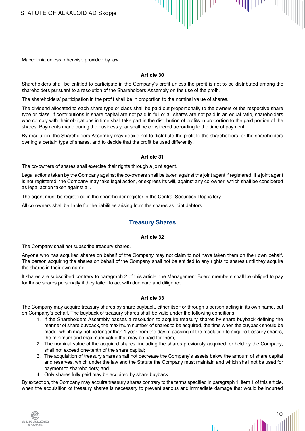

Macedonia unless otherwise provided by law.

#### **Article 30**

Shareholders shall be entitled to participate in the Company's profit unless the profit is not to be distributed among the shareholders pursuant to a resolution of the Shareholders Assembly on the use of the profit.

The shareholders' participation in the profit shall be in proportion to the nominal value of shares.

The dividend allocated to each share type or class shall be paid out proportionally to the owners of the respective share type or class. If contributions in share capital are not paid in full or all shares are not paid in an equal ratio, shareholders who comply with their obligations in time shall take part in the distribution of profits in proportion to the paid portion of the shares. Payments made during the business year shall be considered according to the time of payment.

By resolution, the Shareholders Assembly may decide not to distribute the profit to the shareholders, or the shareholders owning a certain type of shares, and to decide that the profit be used differently.

#### **Article 31**

The co-owners of shares shall exercise their rights through a joint agent.

Legal actions taken by the Company against the co-owners shall be taken against the joint agent if registered. If a joint agent is not registered, the Company may take legal action, or express its will, against any co-owner, which shall be considered as legal action taken against all.

The agent must be registered in the shareholder register in the Central Securities Depository.

All co-owners shall be liable for the liabilities arising from the shares as joint debtors.

#### **Treasury Shares**

#### **Article 32**

The Company shall not subscribe treasury shares.

Anyone who has acquired shares on behalf of the Company may not claim to not have taken them on their own behalf. The person acquiring the shares on behalf of the Company shall not be entitled to any rights to shares until they acquire the shares in their own name.

If shares are subscribed contrary to paragraph 2 of this article, the Management Board members shall be obliged to pay for those shares personally if they failed to act with due care and diligence.

#### **Article 33**

The Company may acquire treasury shares by share buyback, either itself or through a person acting in its own name, but on Company's behalf. The buyback of treasury shares shall be valid under the following conditions:

- 1. If the Shareholders Assembly passes a resolution to acquire treasury shares by share buyback defining the manner of share buyback, the maximum number of shares to be acquired, the time when the buyback should be made, which may not be longer than 1 year from the day of passing of the resolution to acquire treasury shares, the minimum and maximum value that may be paid for them;
- 2. The nominal value of the acquired shares, including the shares previously acquired, or held by the Company, shall not exceed one-tenth of the share capital;
- 3. The acquisition of treasury shares shall not decrease the Company's assets below the amount of share capital and reserves, which under the law and the Statute the Company must maintain and which shall not be used for payment to shareholders; and

10

allMa<sub>matt</sub>

Iщ.

4. Only shares fully paid may be acquired by share buyback.

By exception, the Company may acquire treasury shares contrary to the terms specified in paragraph 1, item 1 of this article, when the acquisition of treasury shares is necessary to prevent serious and immediate damage that would be incurred

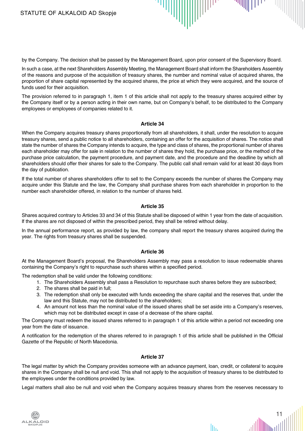by the Company. The decision shall be passed by the Management Board, upon prior consent of the Supervisory Board.

In such a case, at the next Shareholders Assembly Meeting, the Management Board shall inform the Shareholders Assembly of the reasons and purpose of the acquisition of treasury shares, the number and nominal value of acquired shares, the proportion of share capital represented by the acquired shares, the price at which they were acquired, and the source of funds used for their acquisition.

The provision referred to in paragraph 1, item 1 of this article shall not apply to the treasury shares acquired either by the Company itself or by a person acting in their own name, but on Company's behalf, to be distributed to the Company employees or employees of companies related to it.

#### **Article 34**

When the Company acquires treasury shares proportionally from all shareholders, it shall, under the resolution to acquire treasury shares, send a public notice to all shareholders, containing an offer for the acquisition of shares. The notice shall state the number of shares the Company intends to acquire, the type and class of shares, the proportional number of shares each shareholder may offer for sale in relation to the number of shares they hold, the purchase price, or the method of the purchase price calculation, the payment procedure, and payment date, and the procedure and the deadline by which all shareholders should offer their shares for sale to the Company. The public call shall remain valid for at least 30 days from the day of publication.

If the total number of shares shareholders offer to sell to the Company exceeds the number of shares the Company may acquire under this Statute and the law, the Company shall purchase shares from each shareholder in proportion to the number each shareholder offered, in relation to the number of shares held.

#### **Article 35**

Shares acquired contrary to Articles 33 and 34 of this Statute shall be disposed of within 1 year from the date of acquisition. If the shares are not disposed of within the prescribed period, they shall be retired without delay.

In the annual performance report, as provided by law, the company shall report the treasury shares acquired during the year. The rights from treasury shares shall be suspended.

#### **Article 36**

At the Management Board's proposal, the Shareholders Assembly may pass a resolution to issue redeemable shares containing the Company's right to repurchase such shares within a specified period.

The redemption shall be valid under the following conditions:

- 1. The Shareholders Assembly shall pass a Resolution to repurchase such shares before they are subscribed;
- 2. The shares shall be paid in full;
- 3. The redemption shall only be executed with funds exceeding the share capital and the reserves that, under the law and this Statute, may not be distributed to the shareholders;
- 4. An amount not less than the nominal value of the issued shares shall be set aside into a Company's reserves, which may not be distributed except in case of a decrease of the share capital.

The Company must redeem the issued shares referred to in paragraph 1 of this article within a period not exceeding one year from the date of issuance.

A notification for the redemption of the shares referred to in paragraph 1 of this article shall be published in the Official Gazette of the Republic of North Macedonia.

#### **Article 37**

The legal matter by which the Company provides someone with an advance payment, loan, credit, or collateral to acquire shares in the Company shall be null and void. This shall not apply to the acquisition of treasury shares to be distributed to the employees under the conditions provided by law.

Legal matters shall also be null and void when the Company acquires treasury shares from the reserves necessary to

11

**A** A Million III

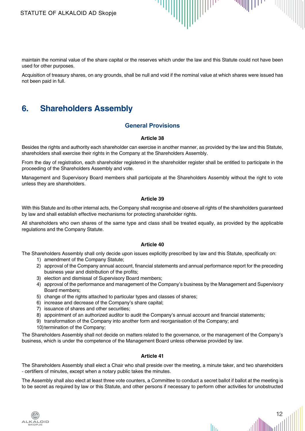<span id="page-11-0"></span>maintain the nominal value of the share capital or the reserves which under the law and this Statute could not have been used for other purposes.

Ш

Acquisition of treasury shares, on any grounds, shall be null and void if the nominal value at which shares were issued has not been paid in full.

## **6. Shareholders Assembly**

#### **General Provisions**

#### **Article 38**

Besides the rights and authority each shareholder can exercise in another manner, as provided by the law and this Statute, shareholders shall exercise their rights in the Company at the Shareholders Assembly.

From the day of registration, each shareholder registered in the shareholder register shall be entitled to participate in the proceeding of the Shareholders Assembly and vote.

Management and Supervisory Board members shall participate at the Shareholders Assembly without the right to vote unless they are shareholders.

#### **Article 39**

With this Statute and its other internal acts, the Company shall recognise and observe all rights of the shareholders guaranteed by law and shall establish effective mechanisms for protecting shareholder rights.

All shareholders who own shares of the same type and class shall be treated equally, as provided by the applicable regulations and the Company Statute.

#### **Article 40**

The Shareholders Assembly shall only decide upon issues explicitly prescribed by law and this Statute, specifically on:

- 1) amendment of the Company Statute;
- 2) approval of the Company annual account, financial statements and annual performance report for the preceding business year and distribution of the profits;
- 3) election and dismissal of Supervisory Board members;
- 4) approval of the performance and management of the Company's business by the Management and Supervisory Board members;
- 5) change of the rights attached to particular types and classes of shares;
- 6) increase and decrease of the Company's share capital;
- 7) issuance of shares and other securities;
- 8) appointment of an authorized auditor to audit the Company's annual account and financial statements;
- 9) transformation of the Company into another form and reorganisation of the Company; and
- 10) termination of the Company;

The Shareholders Assembly shall not decide on matters related to the governance, or the management of the Company's business, which is under the competence of the Management Board unless otherwise provided by law.

#### **Article 41**

The Shareholders Assembly shall elect a Chair who shall preside over the meeting, a minute taker, and two shareholders - certifiers of minutes, except when a notary public takes the minutes.

The Assembly shall also elect at least three vote counters, a Committee to conduct a secret ballot if ballot at the meeting is to be secret as required by law or this Statute, and other persons if necessary to perform other activities for unobstructed

12

**A** A Million III

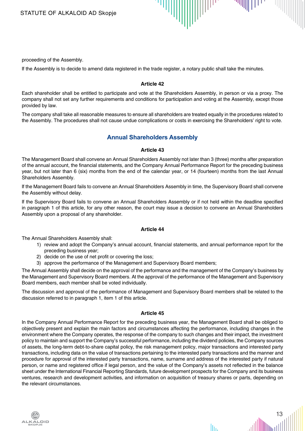

13

ad Million L

Iщ.

proceeding of the Assembly.

If the Assembly is to decide to amend data registered in the trade register, a notary public shall take the minutes.

#### **Article 42**

Each shareholder shall be entitled to participate and vote at the Shareholders Assembly, in person or via a proxy. The company shall not set any further requirements and conditions for participation and voting at the Assembly, except those provided by law.

The company shall take all reasonable measures to ensure all shareholders are treated equally in the procedures related to the Assembly. The procedures shall not cause undue complications or costs in exercising the Shareholders' right to vote.

#### **Annual Shareholders Assembly**

#### **Article 43**

The Management Board shall convene an Annual Shareholders Assembly not later than 3 (three) months after preparation of the annual account, the financial statements, and the Company Annual Performance Report for the preceding business year, but not later than 6 (six) months from the end of the calendar year, or 14 (fourteen) months from the last Annual Shareholders Assembly.

If the Management Board fails to convene an Annual Shareholders Assembly in time, the Supervisory Board shall convene the Assembly without delay.

If the Supervisory Board fails to convene an Annual Shareholders Assembly or if not held within the deadline specified in paragraph 1 of this article, for any other reason, the court may issue a decision to convene an Annual Shareholders Assembly upon a proposal of any shareholder.

#### **Article 44**

The Annual Shareholders Assembly shall:

- 1) review and adopt the Company's annual account, financial statements, and annual performance report for the preceding business year;
- 2) decide on the use of net profit or covering the loss;
- 3) approve the performance of the Management and Supervisory Board members;

The Annual Assembly shall decide on the approval of the performance and the management of the Company's business by the Management and Supervisory Board members. At the approval of the performance of the Management and Supervisory Board members, each member shall be voted individually.

The discussion and approval of the performance of Management and Supervisory Board members shall be related to the discussion referred to in paragraph 1, item 1 of this article.

#### **Article 45**

In the Company Annual Performance Report for the preceding business year, the Management Board shall be obliged to objectively present and explain the main factors and circumstances affecting the performance, including changes in the environment where the Company operates, the response of the company to such changes and their impact, the investment policy to maintain and support the Company's successful performance, including the dividend policies, the Company sources of assets, the long-term debt-to-share capital policy, the risk management policy, major transactions and interested party transactions, including data on the value of transactions pertaining to the interested party transactions and the manner and procedure for approval of the interested party transactions, name, surname and address of the interested party if natural person, or name and registered office if legal person, and the value of the Company's assets not reflected in the balance sheet under the International Financial Reporting Standards, future development prospects for the Company and its business ventures, research and development activities, and information on acquisition of treasury shares or parts, depending on the relevant circumstances.

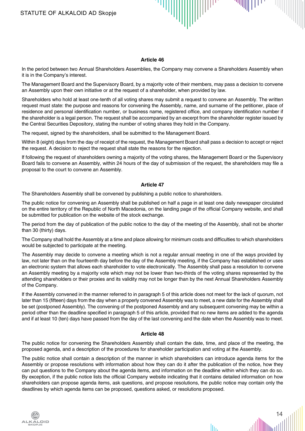#### **Article 46**

чн

In the period between two Annual Shareholders Assemblies, the Company may convene a Shareholders Assembly when it is in the Company's interest.

The Management Board and the Supervisory Board, by a majority vote of their members, may pass a decision to convene an Assembly upon their own initiative or at the request of a shareholder, when provided by law.

Shareholders who hold at least one-tenth of all voting shares may submit a request to convene an Assembly. The written request must state: the purpose and reasons for convening the Assembly, name, and surname of the petitioner, place of residence and personal identification number, or business name, registered office, and company identification number if the shareholder is a legal person. The request shall be accompanied by an excerpt from the shareholder register issued by the Central Securities Depository, stating the number of voting shares they hold in the Company.

The request, signed by the shareholders, shall be submitted to the Management Board.

Within 8 (eight) days from the day of receipt of the request, the Management Board shall pass a decision to accept or reject the request. A decision to reject the request shall state the reasons for the rejection.

If following the request of shareholders owning a majority of the voting shares, the Management Board or the Supervisory Board fails to convene an Assembly, within 24 hours of the day of submission of the request, the shareholders may file a proposal to the court to convene an Assembly.

#### **Article 47**

The Shareholders Assembly shall be convened by publishing a public notice to shareholders.

The public notice for convening an Assembly shall be published on half a page in at least one daily newspaper circulated on the entire territory of the Republic of North Macedonia, on the landing page of the official Company website, and shall be submitted for publication on the website of the stock exchange.

The period from the day of publication of the public notice to the day of the meeting of the Assembly, shall not be shorter than 30 (thirty) days.

The Company shall hold the Assembly at a time and place allowing for minimum costs and difficulties to which shareholders would be subjected to participate at the meeting.

The Assembly may decide to convene a meeting which is not a regular annual meeting in one of the ways provided by law, not later than on the fourteenth day before the day of the Assembly meeting, if the Company has established or uses an electronic system that allows each shareholder to vote electronically. The Assembly shall pass a resolution to convene an Assembly meeting by a majority vote which may not be lower than two-thirds of the voting shares represented by the attending shareholders or their proxies and its validity may not be longer than by the next Annual Shareholders Assembly of the Company.

If the Assembly convened in the manner referred to in paragraph 5 of this article does not meet for the lack of quorum, not later than 15 (fifteen) days from the day when a properly convened Assembly was to meet, a new date for the Assembly shall be set (postponed Assembly). The convening of the postponed Assembly and any subsequent convening may be within a period other than the deadline specified in paragraph 5 of this article, provided that no new items are added to the agenda and if at least 10 (ten) days have passed from the day of the last convening and the date when the Assembly was to meet.

#### **Article 48**

The public notice for convening the Shareholders Assembly shall contain the date, time, and place of the meeting, the proposed agenda, and a description of the procedures for shareholder participation and voting at the Assembly.

The public notice shall contain a description of the manner in which shareholders can introduce agenda items for the Assembly or propose resolutions with information about how they can do it after the publication of the notice, how they can put questions to the Company about the agenda items, and information on the deadline within which they can do so. By exception, if the public notice lists the official Company website indicating that it contains detailed information on how shareholders can propose agenda items, ask questions, and propose resolutions, the public notice may contain only the deadlines by which agenda items can be proposed, questions asked, or resolutions proposed.

14

**A** A Million III

lli.

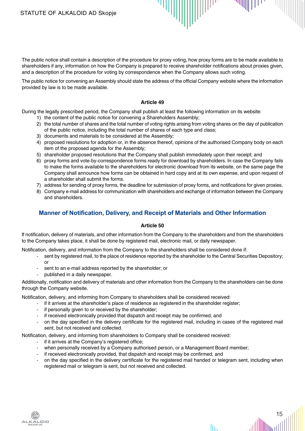The public notice shall contain a description of the procedure for proxy voting, how proxy forms are to be made available to shareholders if any, information on how the Company is prepared to receive shareholder notifications about proxies given, and a description of the procedure for voting by correspondence when the Company allows such voting.

чн

The public notice for convening an Assembly should state the address of the official Company website where the information provided by law is to be made available.

#### **Article 49**

During the legally prescribed period, the Company shall publish at least the following information on its website:

- 1) the content of the public notice for convening a Shareholders Assembly;
- 2) the total number of shares and the total number of voting rights arising from voting shares on the day of publication of the public notice, including the total number of shares of each type and class;
- 3) documents and materials to be considered at the Assembly;
- 4) proposed resolutions for adoption or, in the absence thereof, opinions of the authorised Company body on each item of the proposed agenda for the Assembly;
- 5) shareholder proposed resolutions that the Company shall publish immediately upon their receipt; and
- 6) proxy forms and vote-by-correspondence forms ready for download by shareholders. In case the Company fails to make the forms available to the shareholders for electronic download from its website, on the same page the Company shall announce how forms can be obtained in hard copy and at its own expense, and upon request of a shareholder shall submit the forms.
- 7) address for sending of proxy forms, the deadline for submission of proxy forms, and notifications for given proxies.
- 8) Company e-mail address for communication with shareholders and exchange of information between the Company and shareholders.

#### **Manner of Notification, Delivery, and Receipt of Materials and Other Information**

#### **Article 50**

If notification, delivery of materials, and other information from the Company to the shareholders and from the shareholders to the Company takes place, it shall be done by registered mail, electronic mail, or daily newspaper.

Notification, delivery, and information from the Company to the shareholders shall be considered done if:

- sent by registered mail, to the place of residence reported by the shareholder to the Central Securities Depository; or
- sent to an e-mail address reported by the shareholder; or
- published in a daily newspaper.

Additionally, notification and delivery of materials and other information from the Company to the shareholders can be done through the Company website.

Notification, delivery, and informing from Company to shareholders shall be considered received:

- if it arrives at the shareholder's place of residence as registered in the shareholder register;
- if personally given to or received by the shareholder;
- if received electronically provided that dispatch and receipt may be confirmed, and
- on the day specified in the delivery certificate for the registered mail, including in cases of the registered mail sent, but not received and collected.

Notification, delivery, and informing from shareholders to Company shall be considered received:

- if it arrives at the Company's registered office;
- when personally received by a Company authorised person, or a Management Board member;
- if received electronically provided, that dispatch and receipt may be confirmed, and
- on the day specified in the delivery certificate for the registered mail handed or telegram sent, including when registered mail or telegram is sent, but not received and collected.

15

allMa<sub>matt</sub>

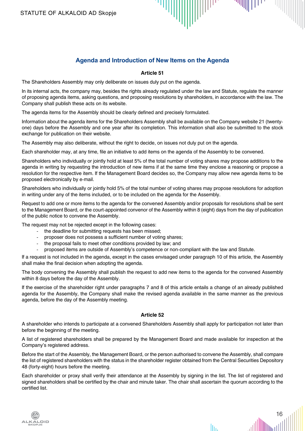#### **Agenda and Introduction of New Items on the Agenda**

Ч

#### **Article 51**

The Shareholders Assembly may only deliberate on issues duly put on the agenda.

In its internal acts, the company may, besides the rights already regulated under the law and Statute, regulate the manner of proposing agenda items, asking questions, and proposing resolutions by shareholders, in accordance with the law. The Company shall publish these acts on its website.

The agenda items for the Assembly should be clearly defined and precisely formulated.

Information about the agenda items for the Shareholders Assembly shall be available on the Company website 21 (twentyone) days before the Assembly and one year after its completion. This information shall also be submitted to the stock exchange for publication on their website.

The Assembly may also deliberate, without the right to decide, on issues not duly put on the agenda.

Each shareholder may, at any time, file an initiative to add items on the agenda of the Assembly to be convened.

Shareholders who individually or jointly hold at least 5% of the total number of voting shares may propose additions to the agenda in writing by requesting the introduction of new items if at the same time they enclose a reasoning or propose a resolution for the respective item. If the Management Board decides so, the Company may allow new agenda items to be proposed electronically by e-mail.

Shareholders who individually or jointly hold 5% of the total number of voting shares may propose resolutions for adoption in writing under any of the items included, or to be included on the agenda for the Assembly.

Request to add one or more items to the agenda for the convened Assembly and/or proposals for resolutions shall be sent to the Management Board, or the court-appointed convenor of the Assembly within 8 (eight) days from the day of publication of the public notice to convene the Assembly.

The request may not be rejected except in the following cases:

- the deadline for submitting requests has been missed;
- proposer does not possess a sufficient number of voting shares;
- the proposal fails to meet other conditions provided by law; and
- proposed items are outside of Assembly's competence or non-compliant with the law and Statute.

If a request is not included in the agenda, except in the cases envisaged under paragraph 10 of this article, the Assembly shall make the final decision when adopting the agenda.

The body convening the Assembly shall publish the request to add new items to the agenda for the convened Assembly within 8 days before the day of the Assembly.

If the exercise of the shareholder right under paragraphs 7 and 8 of this article entails a change of an already published agenda for the Assembly, the Company shall make the revised agenda available in the same manner as the previous agenda, before the day of the Assembly meeting.

#### **Article 52**

A shareholder who intends to participate at a convened Shareholders Assembly shall apply for participation not later than before the beginning of the meeting.

A list of registered shareholders shall be prepared by the Management Board and made available for inspection at the Company's registered address.

Before the start of the Assembly, the Management Board, or the person authorised to convene the Assembly, shall compare the list of registered shareholders with the status in the shareholder register obtained from the Central Securities Depository 48 (forty-eight) hours before the meeting.

Each shareholder or proxy shall verify their attendance at the Assembly by signing in the list. The list of registered and signed shareholders shall be certified by the chair and minute taker. The chair shall ascertain the quorum according to the certified list.

16<br>||||<sub>||اا</sub>|||||||||||||<sub>||||</sub>

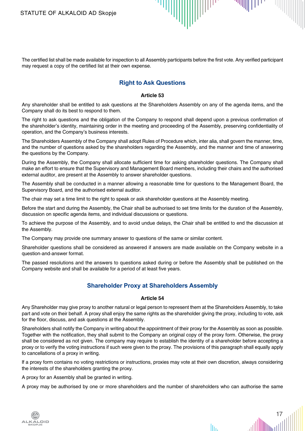The certified list shall be made available for inspection to all Assembly participants before the first vote. Any verified participant may request a copy of the certified list at their own expense.

Ш

#### **Right to Ask Questions**

#### **Article 53**

Any shareholder shall be entitled to ask questions at the Shareholders Assembly on any of the agenda items, and the Company shall do its best to respond to them.

The right to ask questions and the obligation of the Company to respond shall depend upon a previous confirmation of the shareholder's identity, maintaining order in the meeting and proceeding of the Assembly, preserving confidentiality of operation, and the Company's business interests.

The Shareholders Assembly of the Company shall adopt Rules of Procedure which, inter alia, shall govern the manner, time, and the number of questions asked by the shareholders regarding the Assembly, and the manner and time of answering the questions by the Company.

During the Assembly, the Company shall allocate sufficient time for asking shareholder questions. The Company shall make an effort to ensure that the Supervisory and Management Board members, including their chairs and the authorised external auditor, are present at the Assembly to answer shareholder questions.

The Assembly shall be conducted in a manner allowing a reasonable time for questions to the Management Board, the Supervisory Board, and the authorised external auditor.

The chair may set a time limit to the right to speak or ask shareholder questions at the Assembly meeting.

Before the start and during the Assembly, the Chair shall be authorised to set time limits for the duration of the Assembly, discussion on specific agenda items, and individual discussions or questions.

To achieve the purpose of the Assembly, and to avoid undue delays, the Chair shall be entitled to end the discussion at the Assembly.

The Company may provide one summary answer to questions of the same or similar content.

Shareholder questions shall be considered as answered if answers are made available on the Company website in a question-and-answer format.

The passed resolutions and the answers to questions asked during or before the Assembly shall be published on the Company website and shall be available for a period of at least five years.

#### **Shareholder Proxy at Shareholders Assembly**

#### **Article 54**

Any Shareholder may give proxy to another natural or legal person to represent them at the Shareholders Assembly, to take part and vote on their behalf. A proxy shall enjoy the same rights as the shareholder giving the proxy, including to vote, ask for the floor, discuss, and ask questions at the Assembly.

Shareholders shall notify the Company in writing about the appointment of their proxy for the Assembly as soon as possible. Together with the notification, they shall submit to the Company an original copy of the proxy form. Otherwise, the proxy shall be considered as not given. The company may require to establish the identity of a shareholder before accepting a proxy or to verify the voting instructions if such were given to the proxy. The provisions of this paragraph shall equally apply to cancellations of a proxy in writing.

If a proxy form contains no voting restrictions or instructions, proxies may vote at their own discretion, always considering the interests of the shareholders granting the proxy.

A proxy for an Assembly shall be granted in writing.

A proxy may be authorised by one or more shareholders and the number of shareholders who can authorise the same

17

**A** A Million III

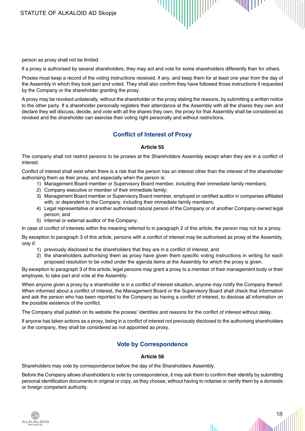

person as proxy shall not be limited.

If a proxy is authorised by several shareholders, they may act and vote for some shareholders differently than for others.

Proxies must keep a record of the voting instructions received, if any, and keep them for at least one year from the day of the Assembly in which they took part and voted. They shall also confirm they have followed those instructions if requested by the Company or the shareholder granting the proxy.

A proxy may be revoked unilaterally, without the shareholder or the proxy stating the reasons, by submitting a written notice to the other party. If a shareholder personally registers their attendance at the Assembly with all the shares they own and declare they will discuss, decide, and vote with all the shares they own, the proxy for that Assembly shall be considered as revoked and the shareholder can exercise their voting right personally and without restrictions.

#### **Conflict of Interest of Proxy**

#### **Article 55**

The company shall not restrict persons to be proxies at the Shareholders Assembly except when they are in a conflict of interest.

Conflict of interest shall exist when there is a risk that the person has an interest other than the interest of the shareholder authorising them as their proxy, and especially when the person is:

- 1) Management Board member or Supervisory Board member, including their immediate family members;
- 2) Company executive or member of their immediate family;
- 3) Management Board member or Supervisory Board member, employed or certified auditor in companies affiliated with, or dependent to the Company, including their immediate family members;
- 4) Legal representative or another authorised natural person of the Company or of another Company-owned legal person; and
- 5) Internal or external auditor of the Company.

In case of conflict of interests within the meaning referred to in paragraph 2 of this article, the person may not be a proxy.

By exception to paragraph 3 of this article, persons with a conflict of interest may be authorised as proxy at the Assembly, only if:

- 1) previously disclosed to the shareholders that they are in a conflict of interest, and
- 2) the shareholders authorising them as proxy have given them specific voting instructions in writing for each proposed resolution to be voted under the agenda items at the Assembly for which the proxy is given.

By exception to paragraph 3 of this article, legal persons may grant a proxy to a member of their management body or their employee, to take part and vote at the Assembly.

When anyone given a proxy by a shareholder is in a conflict of interest situation, anyone may notify the Company thereof. When informed about a conflict of interest, the Management Board or the Supervisory Board shall check that information and ask the person who has been reported to the Company as having a conflict of interest, to disclose all information on the possible existence of the conflict.

The Company shall publish on its website the proxies' identities and reasons for the conflict of interest without delay.

If anyone has taken actions as a proxy, being in a conflict of interest not previously disclosed to the authorising shareholders or the company, they shall be considered as not appointed as proxy.

#### **Vote by Correspondence**

#### **Article 56**

Shareholders may vote by correspondence before the day of the Shareholders Assembly.

Before the Company allows shareholders to vote by correspondence, it may ask them to confirm their identity by submitting personal identification documents in original or copy, as they choose, without having to notarise or certify them by a domestic or foreign competent authority.



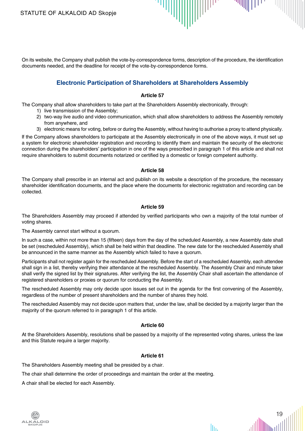On its website, the Company shall publish the vote-by-correspondence forms, description of the procedure, the identification documents needed, and the deadline for receipt of the vote-by-correspondence forms.

#### **Electronic Participation of Shareholders at Shareholders Assembly**

#### **Article 57**

The Company shall allow shareholders to take part at the Shareholders Assembly electronically, through:

- 1) live transmission of the Assembly;
- 2) two-way live audio and video communication, which shall allow shareholders to address the Assembly remotely from anywhere, and
- 3) electronic means for voting, before or during the Assembly, without having to authorise a proxy to attend physically.

If the Company allows shareholders to participate at the Assembly electronically in one of the above ways, it must set up a system for electronic shareholder registration and recording to identify them and maintain the security of the electronic connection during the shareholders' participation in one of the ways prescribed in paragraph 1 of this article and shall not require shareholders to submit documents notarized or certified by a domestic or foreign competent authority.

#### **Article 58**

The Company shall prescribe in an internal act and publish on its website a description of the procedure, the necessary shareholder identification documents, and the place where the documents for electronic registration and recording can be collected.

#### **Article 59**

The Shareholders Assembly may proceed if attended by verified participants who own a majority of the total number of voting shares.

The Assembly cannot start without a quorum.

In such a case, within not more than 15 (fifteen) days from the day of the scheduled Assembly, a new Assembly date shall be set (rescheduled Assembly), which shall be held within that deadline. The new date for the rescheduled Assembly shall be announced in the same manner as the Assembly which failed to have a quorum.

Participants shall not register again for the rescheduled Assembly. Before the start of a rescheduled Assembly, each attendee shall sign in a list, thereby verifying their attendance at the rescheduled Assembly. The Assembly Chair and minute taker shall verify the signed list by their signatures. After verifying the list, the Assembly Chair shall ascertain the attendance of registered shareholders or proxies or quorum for conducting the Assembly.

The rescheduled Assembly may only decide upon issues set out in the agenda for the first convening of the Assembly, regardless of the number of present shareholders and the number of shares they hold.

The rescheduled Assembly may not decide upon matters that, under the law, shall be decided by a majority larger than the majority of the quorum referred to in paragraph 1 of this article.

#### **Article 60**

At the Shareholders Assembly, resolutions shall be passed by a majority of the represented voting shares, unless the law and this Statute require a larger majority.

#### **Article 61**

19<br>||||<sub>||ساا</sub>|||||||||<sub>|| ..</sub>

Iщ.

The Shareholders Assembly meeting shall be presided by a chair.

The chair shall determine the order of proceedings and maintain the order at the meeting.

A chair shall be elected for each Assembly.

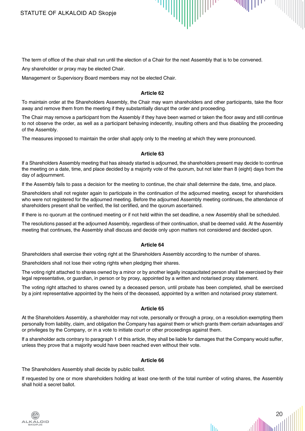

Any shareholder or proxy may be elected Chair.

Management or Supervisory Board members may not be elected Chair.

#### **Article 62**

чн

To maintain order at the Shareholders Assembly, the Chair may warn shareholders and other participants, take the floor away and remove them from the meeting if they substantially disrupt the order and proceeding.

The Chair may remove a participant from the Assembly if they have been warned or taken the floor away and still continue to not observe the order, as well as a participant behaving indecently, insulting others and thus disabling the proceeding of the Assembly.

The measures imposed to maintain the order shall apply only to the meeting at which they were pronounced.

#### **Article 63**

If a Shareholders Assembly meeting that has already started is adjourned, the shareholders present may decide to continue the meeting on a date, time, and place decided by a majority vote of the quorum, but not later than 8 (eight) days from the day of adjournment.

If the Assembly fails to pass a decision for the meeting to continue, the chair shall determine the date, time, and place.

Shareholders shall not register again to participate in the continuation of the adjourned meeting, except for shareholders who were not registered for the adjourned meeting. Before the adjourned Assembly meeting continues, the attendance of shareholders present shall be verified, the list certified, and the quorum ascertained.

If there is no quorum at the continued meeting or if not held within the set deadline, a new Assembly shall be scheduled.

The resolutions passed at the adjourned Assembly, regardless of their continuation, shall be deemed valid. At the Assembly meeting that continues, the Assembly shall discuss and decide only upon matters not considered and decided upon.

#### **Article 64**

Shareholders shall exercise their voting right at the Shareholders Assembly according to the number of shares.

Shareholders shall not lose their voting rights when pledging their shares.

The voting right attached to shares owned by a minor or by another legally incapacitated person shall be exercised by their legal representative, or guardian, in person or by proxy, appointed by a written and notarised proxy statement.

The voting right attached to shares owned by a deceased person, until probate has been completed, shall be exercised by a joint representative appointed by the heirs of the deceased, appointed by a written and notarised proxy statement.

#### **Article 65**

At the Shareholders Assembly, a shareholder may not vote, personally or through a proxy, on a resolution exempting them personally from liability, claim, and obligation the Company has against them or which grants them certain advantages and/ or privileges by the Company, or in a vote to initiate court or other proceedings against them.

If a shareholder acts contrary to paragraph 1 of this article, they shall be liable for damages that the Company would suffer, unless they prove that a majority would have been reached even without their vote.

#### **Article 66**

The Shareholders Assembly shall decide by public ballot.

If requested by one or more shareholders holding at least one-tenth of the total number of voting shares, the Assembly shall hold a secret ballot.

20<br>||||<sub>||اا</sub>||||||||||||<sub>||||</sub>

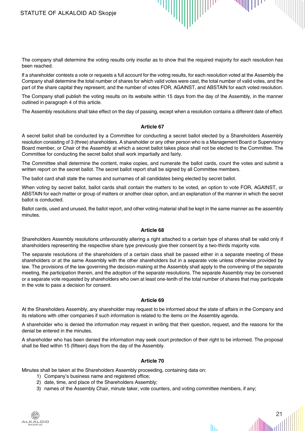#### STATUTE OF ALKALOID AD Skopje

The company shall determine the voting results only insofar as to show that the required majority for each resolution has been reached.

Ч

If a shareholder contests a vote or requests a full account for the voting results, for each resolution voted at the Assembly the Company shall determine the total number of shares for which valid votes were cast, the total number of valid votes, and the part of the share capital they represent, and the number of votes FOR, AGAINST, and ABSTAIN for each voted resolution.

The Company shall publish the voting results on its website within 15 days from the day of the Assembly, in the manner outlined in paragraph 4 of this article.

The Assembly resolutions shall take effect on the day of passing, except when a resolution contains a different date of effect.

#### **Article 67**

A secret ballot shall be conducted by a Committee for conducting a secret ballot elected by a Shareholders Assembly resolution consisting of 3 (three) shareholders. A shareholder or any other person who is a Management Board or Supervisory Board member, or Chair of the Assembly at which a secret ballot takes place shall not be elected to the Committee. The Committee for conducting the secret ballot shall work impartially and fairly.

The Committee shall determine the content, make copies, and numerate the ballot cards, count the votes and submit a written report on the secret ballot. The secret ballot report shall be signed by all Committee members.

The ballot card shall state the names and surnames of all candidates being elected by secret ballot.

When voting by secret ballot, ballot cards shall contain the matters to be voted, an option to vote FOR, AGAINST, or ABSTAIN for each matter or group of matters or another clear option, and an explanation of the manner in which the secret ballot is conducted.

Ballot cards, used and unused, the ballot report, and other voting material shall be kept in the same manner as the assembly minutes.

#### **Article 68**

Shareholders Assembly resolutions unfavourably altering a right attached to a certain type of shares shall be valid only if shareholders representing the respective share type previously give their consent by a two-thirds majority vote.

The separate resolutions of the shareholders of a certain class shall be passed either in a separate meeting of these shareholders or at the same Assembly with the other shareholders but in a separate vote unless otherwise provided by law. The provisions of the law governing the decision-making at the Assembly shall apply to the convening of the separate meeting, the participation therein, and the adoption of the separate resolutions. The separate Assembly may be convened or a separate vote requested by shareholders who own at least one-tenth of the total number of shares that may participate in the vote to pass a decision for consent.

#### **Article 69**

At the Shareholders Assembly, any shareholder may request to be informed about the state of affairs in the Company and its relations with other companies if such information is related to the items on the Assembly agenda.

A shareholder who is denied the information may request in writing that their question, request, and the reasons for the denial be entered in the minutes.

A shareholder who has been denied the information may seek court protection of their right to be informed. The proposal shall be filed within 15 (fifteen) days from the day of the Assembly.

#### **Article 70**

21<br>|||| روزا||||||||||<sub>|| ر.</sub>

lli.

Minutes shall be taken at the Shareholders Assembly proceeding, containing data on:

1) Company's business name and registered office;

ALIZAL OID

- 2) date, time, and place of the Shareholders Assembly;
- 3) names of the Assembly Chair, minute taker, vote counters, and voting committee members, if any;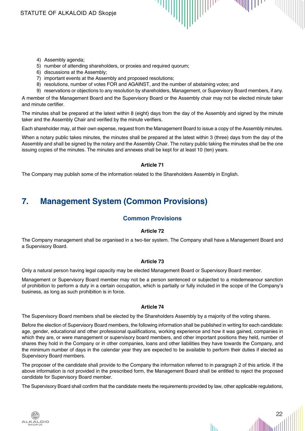- <span id="page-21-0"></span>4) Assembly agenda;
- 5) number of attending shareholders, or proxies and required quorum;
- 6) discussions at the Assembly;
- 7) important events at the Assembly and proposed resolutions;
- 8) resolutions, number of votes FOR and AGAINST, and the number of abstaining votes; and
- 9) reservations or objections to any resolution by shareholders, Management, or Supervisory Board members, if any.

чн

A member of the Management Board and the Supervisory Board or the Assembly chair may not be elected minute taker and minute certifier.

The minutes shall be prepared at the latest within 8 (eight) days from the day of the Assembly and signed by the minute taker and the Assembly Chair and verified by the minute verifiers.

Each shareholder may, at their own expense, request from the Management Board to issue a copy of the Assembly minutes.

When a notary public takes minutes, the minutes shall be prepared at the latest within 3 (three) days from the day of the Assembly and shall be signed by the notary and the Assembly Chair. The notary public taking the minutes shall be the one issuing copies of the minutes. The minutes and annexes shall be kept for at least 10 (ten) years.

#### **Article 71**

The Company may publish some of the information related to the Shareholders Assembly in English.

## **7. Management System (Common Provisions)**

#### **Common Provisions**

#### **Article 72**

The Company management shall be organised in a two-tier system. The Company shall have a Management Board and a Supervisory Board.

#### **Article 73**

Only a natural person having legal capacity may be elected Management Board or Supervisory Board member.

Management or Supervisory Board member may not be a person sentenced or subjected to a misdemeanour sanction of prohibition to perform a duty in a certain occupation, which is partially or fully included in the scope of the Company's business, as long as such prohibition is in force.

#### **Article 74**

The Supervisory Board members shall be elected by the Shareholders Assembly by a majority of the voting shares.

Before the election of Supervisory Board members, the following information shall be published in writing for each candidate: age, gender, educational and other professional qualifications, working experience and how it was gained, companies in which they are, or were management or supervisory board members, and other important positions they held, number of shares they hold in the Company or in other companies, loans and other liabilities they have towards the Company, and the minimum number of days in the calendar year they are expected to be available to perform their duties if elected as Supervisory Board members.

The proposer of the candidate shall provide to the Company the information referred to in paragraph 2 of this article. If the above information is not provided in the prescribed form, the Management Board shall be entitled to reject the proposed candidate for Supervisory Board member.

The Supervisory Board shall confirm that the candidate meets the requirements provided by law, other applicable regulations,

22

ad Million 1

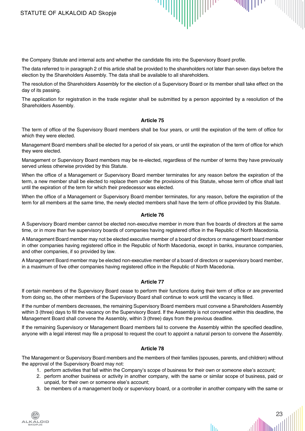#### STATUTE OF ALKALOID AD Skopje

ALKALOID

the Company Statute and internal acts and whether the candidate fits into the Supervisory Board profile.

The data referred to in paragraph 2 of this article shall be provided to the shareholders not later than seven days before the election by the Shareholders Assembly. The data shall be available to all shareholders.

Ч

The resolution of the Shareholders Assembly for the election of a Supervisory Board or its member shall take effect on the day of its passing.

The application for registration in the trade register shall be submitted by a person appointed by a resolution of the Shareholders Assembly.

#### **Article 75**

The term of office of the Supervisory Board members shall be four years, or until the expiration of the term of office for which they were elected.

Management Board members shall be elected for a period of six years, or until the expiration of the term of office for which they were elected.

Management or Supervisory Board members may be re-elected, regardless of the number of terms they have previously served unless otherwise provided by this Statute.

When the office of a Management or Supervisory Board member terminates for any reason before the expiration of the term, a new member shall be elected to replace them under the provisions of this Statute, whose term of office shall last until the expiration of the term for which their predecessor was elected.

When the office of a Management or Supervisory Board member terminates, for any reason, before the expiration of the term for all members at the same time, the newly elected members shall have the term of office provided by this Statute.

#### **Article 76**

A Supervisory Board member cannot be elected non-executive member in more than five boards of directors at the same time, or in more than five supervisory boards of companies having registered office in the Republic of North Macedonia.

A Management Board member may not be elected executive member of a board of directors or management board member in other companies having registered office in the Republic of North Macedonia, except in banks, insurance companies, and other companies, if so provided by law.

A Management Board member may be elected non-executive member of a board of directors or supervisory board member, in a maximum of five other companies having registered office in the Republic of North Macedonia.

#### **Article 77**

If certain members of the Supervisory Board cease to perform their functions during their term of office or are prevented from doing so, the other members of the Supervisory Board shall continue to work until the vacancy is filled.

If the number of members decreases, the remaining Supervisory Board members must convene a Shareholders Assembly within 3 (three) days to fill the vacancy on the Supervisory Board. If the Assembly is not convened within this deadline, the Management Board shall convene the Assembly, within 3 (three) days from the previous deadline.

If the remaining Supervisory or Management Board members fail to convene the Assembly within the specified deadline, anyone with a legal interest may file a proposal to request the court to appoint a natural person to convene the Assembly.

#### **Article 78**

The Management or Supervisory Board members and the members of their families (spouses, parents, and children) without the approval of the Supervisory Board may not:

- 1. perform activities that fall within the Company's scope of business for their own or someone else's account;
- 2. perform another business or activity in another company, with the same or similar scope of business, paid or unpaid, for their own or someone else's account;
- 3. be members of a management body or supervisory board, or a controller in another company with the same or

23

allMa<sub>matt</sub>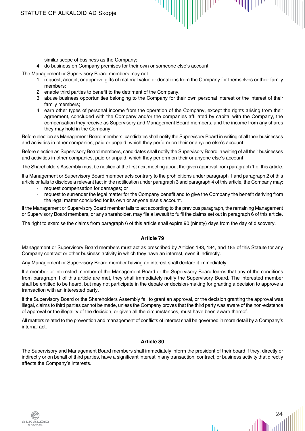similar scope of business as the Company;

4. do business on Company premises for their own or someone else's account.

The Management or Supervisory Board members may not:

1. request, accept, or approve gifts of material value or donations from the Company for themselves or their family members;

чн

- 2. enable third parties to benefit to the detriment of the Company.
- 3. abuse business opportunities belonging to the Company for their own personal interest or the interest of their family members;
- 4. earn other types of personal income from the operation of the Company, except the rights arising from their agreement, concluded with the Company and/or the companies affiliated by capital with the Company, the compensation they receive as Supervisory and Management Board members, and the income from any shares they may hold in the Company;

Before election as Management Board members, candidates shall notify the Supervisory Board in writing of all their businesses and activities in other companies, paid or unpaid, which they perform on their or anyone else's account.

Before election as Supervisory Board members, candidates shall notify the Supervisory Board in writing of all their businesses and activities in other companies, paid or unpaid, which they perform on their or anyone else's account

The Shareholders Assembly must be notified at the first next meeting about the given approval from paragraph 1 of this article.

If a Management or Supervisory Board member acts contrary to the prohibitions under paragraph 1 and paragraph 2 of this article or fails to disclose a relevant fact in the notification under paragraph 3 and paragraph 4 of this article, the Company may:

- request compensation for damages; or
- request to surrender the legal matter for the Company benefit and to give the Company the benefit deriving from the legal matter concluded for its own or anyone else's account.

If the Management or Supervisory Board member fails to act according to the previous paragraph, the remaining Management or Supervisory Board members, or any shareholder, may file a lawsuit to fulfil the claims set out in paragraph 6 of this article.

The right to exercise the claims from paragraph 6 of this article shall expire 90 (ninety) days from the day of discovery.

#### **Article 79**

Management or Supervisory Board members must act as prescribed by Articles 183, 184, and 185 of this Statute for any Company contract or other business activity in which they have an interest, even if indirectly.

Any Management or Supervisory Board member having an interest shall declare it immediately.

If a member or interested member of the Management Board or the Supervisory Board learns that any of the conditions from paragraph 1 of this article are met, they shall immediately notify the Supervisory Board. The interested member shall be entitled to be heard, but may not participate in the debate or decision-making for granting a decision to approve a transaction with an interested party.

If the Supervisory Board or the Shareholders Assembly fail to grant an approval, or the decision granting the approval was illegal, claims to third parties cannot be made, unless the Company proves that the third party was aware of the non-existence of approval or the illegality of the decision, or given all the circumstances, must have been aware thereof.

All matters related to the prevention and management of conflicts of interest shall be governed in more detail by a Company's internal act.

#### **Article 80**

The Supervisory and Management Board members shall immediately inform the president of their board if they, directly or indirectly or on behalf of third parties, have a significant interest in any transaction, contract, or business activity that directly affects the Company's interests.

24

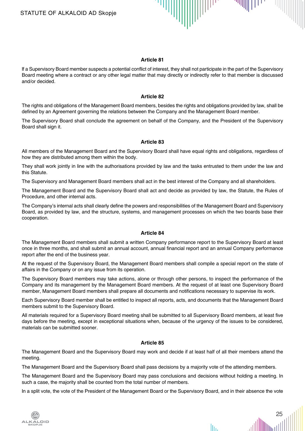

25

allMa<sub>matt</sub>

Iщ.

#### **Article 81**

If a Supervisory Board member suspects a potential conflict of interest, they shall not participate in the part of the Supervisory Board meeting where a contract or any other legal matter that may directly or indirectly refer to that member is discussed and/or decided.

#### **Article 82**

The rights and obligations of the Management Board members, besides the rights and obligations provided by law, shall be defined by an Agreement governing the relations between the Company and the Management Board member.

The Supervisory Board shall conclude the agreement on behalf of the Company, and the President of the Supervisory Board shall sign it.

#### **Article 83**

All members of the Management Board and the Supervisory Board shall have equal rights and obligations, regardless of how they are distributed among them within the body.

They shall work jointly in line with the authorisations provided by law and the tasks entrusted to them under the law and this Statute.

The Supervisory and Management Board members shall act in the best interest of the Company and all shareholders.

The Management Board and the Supervisory Board shall act and decide as provided by law, the Statute, the Rules of Procedure, and other internal acts.

The Company's internal acts shall clearly define the powers and responsibilities of the Management Board and Supervisory Board, as provided by law, and the structure, systems, and management processes on which the two boards base their cooperation.

#### **Article 84**

The Management Board members shall submit a written Company performance report to the Supervisory Board at least once in three months, and shall submit an annual account, annual financial report and an annual Company performance report after the end of the business year.

At the request of the Supervisory Board, the Management Board members shall compile a special report on the state of affairs in the Company or on any issue from its operation.

The Supervisory Board members may take actions, alone or through other persons, to inspect the performance of the Company and its management by the Management Board members. At the request of at least one Supervisory Board member, Management Board members shall prepare all documents and notifications necessary to supervise its work.

Each Supervisory Board member shall be entitled to inspect all reports, acts, and documents that the Management Board members submit to the Supervisory Board.

All materials required for a Supervisory Board meeting shall be submitted to all Supervisory Board members, at least five days before the meeting, except in exceptional situations when, because of the urgency of the issues to be considered, materials can be submitted sooner.

#### **Article 85**

The Management Board and the Supervisory Board may work and decide if at least half of all their members attend the meeting.

The Management Board and the Supervisory Board shall pass decisions by a majority vote of the attending members.

The Management Board and the Supervisory Board may pass conclusions and decisions without holding a meeting. In such a case, the majority shall be counted from the total number of members.

In a split vote, the vote of the President of the Management Board or the Supervisory Board, and in their absence the vote

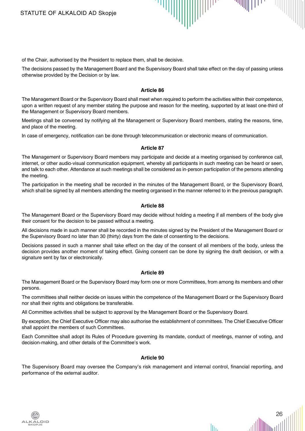

The decisions passed by the Management Board and the Supervisory Board shall take effect on the day of passing unless otherwise provided by the Decision or by law.

#### **Article 86**

The Management Board or the Supervisory Board shall meet when required to perform the activities within their competence, upon a written request of any member stating the purpose and reason for the meeting, supported by at least one-third of the Management or Supervisory Board members.

Meetings shall be convened by notifying all the Management or Supervisory Board members, stating the reasons, time, and place of the meeting.

In case of emergency, notification can be done through telecommunication or electronic means of communication.

#### **Article 87**

The Management or Supervisory Board members may participate and decide at a meeting organised by conference call, internet, or other audio-visual communication equipment, whereby all participants in such meeting can be heard or seen, and talk to each other. Attendance at such meetings shall be considered as in-person participation of the persons attending the meeting.

The participation in the meeting shall be recorded in the minutes of the Management Board, or the Supervisory Board, which shall be signed by all members attending the meeting organised in the manner referred to in the previous paragraph.

#### **Article 88**

The Management Board or the Supervisory Board may decide without holding a meeting if all members of the body give their consent for the decision to be passed without a meeting.

All decisions made in such manner shall be recorded in the minutes signed by the President of the Management Board or the Supervisory Board no later than 30 (thirty) days from the date of consenting to the decisions.

Decisions passed in such a manner shall take effect on the day of the consent of all members of the body, unless the decision provides another moment of taking effect. Giving consent can be done by signing the draft decision, or with a signature sent by fax or electronically.

#### **Article 89**

The Management Board or the Supervisory Board may form one or more Committees, from among its members and other persons.

The committees shall neither decide on issues within the competence of the Management Board or the Supervisory Board nor shall their rights and obligations be transferable.

All Committee activities shall be subject to approval by the Management Board or the Supervisory Board.

By exception, the Chief Executive Officer may also authorise the establishment of committees. The Chief Executive Officer shall appoint the members of such Committees.

Each Committee shall adopt its Rules of Procedure governing its mandate, conduct of meetings, manner of voting, and decision-making, and other details of the Committee's work.

#### **Article 90**

The Supervisory Board may oversee the Company's risk management and internal control, financial reporting, and performance of the external auditor.

26

ad Million L

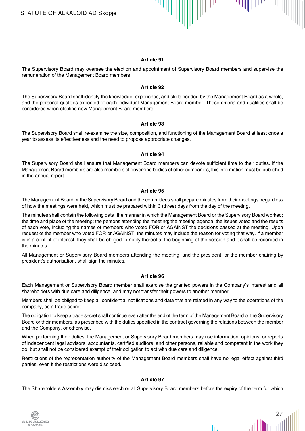

27

انتشااااان

Iщ.

#### **Article 91**

The Supervisory Board may oversee the election and appointment of Supervisory Board members and supervise the remuneration of the Management Board members.

#### **Article 92**

The Supervisory Board shall identify the knowledge, experience, and skills needed by the Management Board as a whole, and the personal qualities expected of each individual Management Board member. These criteria and qualities shall be considered when electing new Management Board members.

#### **Article 93**

The Supervisory Board shall re-examine the size, composition, and functioning of the Management Board at least once a year to assess its effectiveness and the need to propose appropriate changes.

#### **Article 94**

The Supervisory Board shall ensure that Management Board members can devote sufficient time to their duties. If the Management Board members are also members of governing bodies of other companies, this information must be published in the annual report.

#### **Article 95**

The Management Board or the Supervisory Board and the committees shall prepare minutes from their meetings, regardless of how the meetings were held, which must be prepared within 3 (three) days from the day of the meeting.

The minutes shall contain the following data: the manner in which the Management Board or the Supervisory Board worked; the time and place of the meeting; the persons attending the meeting; the meeting agenda; the issues voted and the results of each vote, including the names of members who voted FOR or AGAINST the decisions passed at the meeting. Upon request of the member who voted FOR or AGAINST, the minutes may include the reason for voting that way. If a member is in a conflict of interest, they shall be obliged to notify thereof at the beginning of the session and it shall be recorded in the minutes.

All Management or Supervisory Board members attending the meeting, and the president, or the member chairing by president's authorisation, shall sign the minutes.

#### **Article 96**

Each Management or Supervisory Board member shall exercise the granted powers in the Company's interest and all shareholders with due care and diligence, and may not transfer their powers to another member.

Members shall be obliged to keep all confidential notifications and data that are related in any way to the operations of the company, as a trade secret.

The obligation to keep a trade secret shall continue even after the end of the term of the Management Board or the Supervisory Board or their members, as prescribed with the duties specified in the contract governing the relations between the member and the Company, or otherwise.

When performing their duties, the Management or Supervisory Board members may use information, opinions, or reports of independent legal advisors, accountants, certified auditors, and other persons, reliable and competent in the work they do, but shall not be considered exempt of their obligation to act with due care and diligence.

Restrictions of the representation authority of the Management Board members shall have no legal effect against third parties, even if the restrictions were disclosed.

#### **Article 97**

The Shareholders Assembly may dismiss each or all Supervisory Board members before the expiry of the term for which

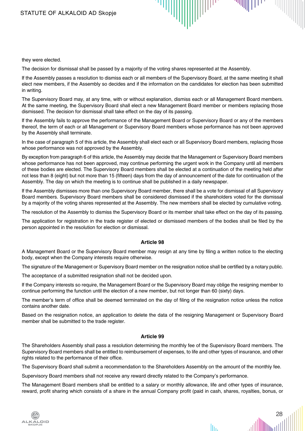

The decision for dismissal shall be passed by a majority of the voting shares represented at the Assembly.

If the Assembly passes a resolution to dismiss each or all members of the Supervisory Board, at the same meeting it shall elect new members, if the Assembly so decides and if the information on the candidates for election has been submitted in writing.

чн

Ш

The Supervisory Board may, at any time, with or without explanation, dismiss each or all Management Board members. At the same meeting, the Supervisory Board shall elect a new Management Board member or members replacing those dismissed. The decision for dismissal shall take effect on the day of its passing.

If the Assembly fails to approve the performance of the Management Board or Supervisory Board or any of the members thereof, the term of each or all Management or Supervisory Board members whose performance has not been approved by the Assembly shall terminate.

In the case of paragraph 5 of this article, the Assembly shall elect each or all Supervisory Board members, replacing those whose performance was not approved by the Assembly.

By exception from paragraph 6 of this article, the Assembly may decide that the Management or Supervisory Board members whose performance has not been approved, may continue performing the urgent work in the Company until all members of these bodies are elected. The Supervisory Board members shall be elected at a continuation of the meeting held after not less than 8 (eight) but not more than 15 (fifteen) days from the day of announcement of the date for continuation of the Assembly. The day on which the meeting is to continue shall be published in a daily newspaper.

If the Assembly dismisses more than one Supervisory Board member, there shall be a vote for dismissal of all Supervisory Board members. Supervisory Board members shall be considered dismissed if the shareholders voted for the dismissal by a majority of the voting shares represented at the Assembly. The new members shall be elected by cumulative voting.

The resolution of the Assembly to dismiss the Supervisory Board or its member shall take effect on the day of its passing.

The application for registration in the trade register of elected or dismissed members of the bodies shall be filed by the person appointed in the resolution for election or dismissal.

#### **Article 98**

A Management Board or the Supervisory Board member may resign at any time by filing a written notice to the electing body, except when the Company interests require otherwise.

The signature of the Management or Supervisory Board member on the resignation notice shall be certified by a notary public.

The acceptance of a submitted resignation shall not be decided upon.

If the Company interests so require, the Management Board or the Supervisory Board may oblige the resigning member to continue performing the function until the election of a new member, but not longer than 60 (sixty) days.

The member's term of office shall be deemed terminated on the day of filing of the resignation notice unless the notice contains another date.

Based on the resignation notice, an application to delete the data of the resigning Management or Supervisory Board member shall be submitted to the trade register.

#### **Article 99**

The Shareholders Assembly shall pass a resolution determining the monthly fee of the Supervisory Board members. The Supervisory Board members shall be entitled to reimbursement of expenses, to life and other types of insurance, and other rights related to the performance of their office.

The Supervisory Board shall submit a recommendation to the Shareholders Assembly on the amount of the monthly fee.

Supervisory Board members shall not receive any reward directly related to the Company's performance.

The Management Board members shall be entitled to a salary or monthly allowance, life and other types of insurance, reward, profit sharing which consists of a share in the annual Company profit (paid in cash, shares, royalties, bonus, or

28

allMa<sub>matt</sub>

lli.

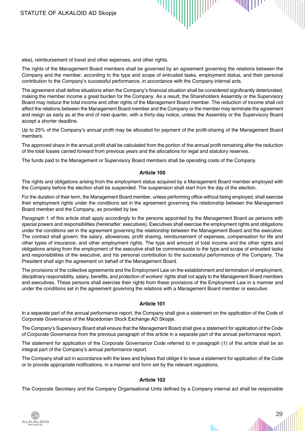else), reimbursement of travel and other expenses, and other rights.

The rights of the Management Board members shall be governed by an agreement governing the relations between the Company and the member, according to the type and scope of entrusted tasks, employment status, and their personal contribution to the Company's successful performance, in accordance with the Company internal acts.

Ч

The agreement shall define situations when the Company's financial situation shall be considered significantly deteriorated, making the member income a great burden for the Company. As a result, the Shareholders Assembly or the Supervisory Board may reduce the total income and other rights of the Management Board member. The reduction of income shall not affect the relations between the Management Board member and the Company or the member may terminate the agreement and resign as early as at the end of next quarter, with a thirty-day notice, unless the Assembly or the Supervisory Board accept a shorter deadline.

Up to 25% of the Company's annual profit may be allocated for payment of the profit-sharing of the Management Board members.

The approved share in the annual profit shall be calculated from the portion of the annual profit remaining after the reduction of the total losses carried forward from previous years and the allocations for legal and statutory reserves.

The funds paid to the Management or Supervisory Board members shall be operating costs of the Company.

#### **Article 100**

The rights and obligations arising from the employment status acquired by a Management Board member employed with the Company before the election shall be suspended. The suspension shall start from the day of the election.

For the duration of their term, the Management Board member, unless performing office without being employed, shall exercise their employment rights under the conditions set in the agreement governing the relationship between the Management Board member and the Company, as provided by law.

Paragraph 1 of this article shall apply accordingly to the persons appointed by the Management Board as persons with special powers and responsibilities (hereinafter: executives). Executives shall exercise the employment rights and obligations under the conditions set in the agreement governing the relationship between the Management Board and the executive. The contract shall govern: the salary, allowances, profit sharing, reimbursement of expenses, compensation for life and other types of insurance, and other employment rights. The type and amount of total income and the other rights and obligations arising from the employment of the executive shall be commensurate to the type and scope of entrusted tasks and responsibilities of the executive, and his personal contribution to the successful performance of the Company. The President shall sign the agreement on behalf of the Management Board.

The provisions of the collective agreements and the Employment Law on the establishment and termination of employment, disciplinary responsibility, salary, benefits, and protection of workers' rights shall not apply to the Management Board members and executives. These persons shall exercise their rights from these provisions of the Employment Law in a manner and under the conditions set in the agreement governing the relations with a Management Board member or executive.

#### **Article 101**

In a separate part of the annual performance report, the Company shall give a statement on the application of the Code of Corporate Governance of the Macedonian Stock Exchange AD Skopje.

The Company's Supervisory Board shall ensure that the Management Board shall give a statement for application of the Code of Corporate Governance from the previous paragraph of this article in a separate part of the annual performance report.

The statement for application of the Corporate Governance Code referred to in paragraph (1) of this article shall be an integral part of the Company's annual performance report.

The Company shall act in accordance with the laws and bylaws that oblige it to issue a statement for application of the Code or to provide appropriate notifications, in a manner and form set by the relevant regulations.

#### **Article 102**

The Corporate Secretary and the Company Organisational Units defined by a Company internal act shall be responsible

29

**A** A Million III

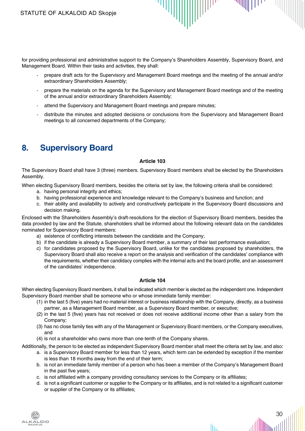<span id="page-29-0"></span>for providing professional and administrative support to the Company's Shareholders Assembly, Supervisory Board, and Management Board. Within their tasks and activities, they shall:

- prepare draft acts for the Supervisory and Management Board meetings and the meeting of the annual and/or extraordinary Shareholders Assembly;

Ч

- prepare the materials on the agenda for the Supervisory and Management Board meetings and of the meeting of the annual and/or extraordinary Shareholders Assembly;
- attend the Supervisory and Management Board meetings and prepare minutes;
- distribute the minutes and adopted decisions or conclusions from the Supervisory and Management Board meetings to all concerned departments of the Company;

## **8. Supervisory Board**

#### **Article 103**

The Supervisory Board shall have 3 (three) members. Supervisory Board members shall be elected by the Shareholders Assembly.

When electing Supervisory Board members, besides the criteria set by law, the following criteria shall be considered:

- a. having personal integrity and ethics;
- b. having professional experience and knowledge relevant to the Company's business and function; and
- c. their ability and availability to actively and constructively participate in the Supervisory Board discussions and decision making.

Enclosed with the Shareholders Assembly's draft-resolutions for the election of Supervisory Board members, besides the data provided by law and the Statute, shareholders shall be informed about the following relevant data on the candidates nominated for Supervisory Board members:

- a) existence of conflicting interests between the candidate and the Company;
- b) if the candidate is already a Supervisory Board member, a summary of their last performance evaluation;
- c) for candidates proposed by the Supervisory Board, unlike for the candidates proposed by shareholders, the Supervisory Board shall also receive a report on the analysis and verification of the candidates' compliance with the requirements, whether their candidacy complies with the internal acts and the board profile, and an assessment of the candidates' independence.

#### **Article 104**

When electing Supervisory Board members, it shall be indicated which member is elected as the independent one. Independent Supervisory Board member shall be someone who or whose immediate family member:

- (1) in the last 5 (five) years had no material interest or business relationship with the Company, directly, as a business partner, as a Management Board member, as a Supervisory Board member, or executive;
- (2) in the last 5 (five) years has not received or does not receive additional income other than a salary from the Company;
- (3) has no close family ties with any of the Management or Supervisory Board members, or the Company executives, and
- (4) is not a shareholder who owns more than one-tenth of the Company shares.

Additionally, the person to be elected as independent Supervisory Board member shall meet the criteria set by law, and also:

- a. is a Supervisory Board member for less than 12 years, which term can be extended by exception if the member is less than 18 months away from the end of their term;
- b. is not an immediate family member of a person who has been a member of the Company's Management Board in the past five years;
- c. is not affiliated with a company providing consultancy services to the Company or its affiliates;
- d. is not a significant customer or supplier to the Company or its affiliates, and is not related to a significant customer or supplier of the Company or its affiliates;

30

allMa<sub>matt</sub>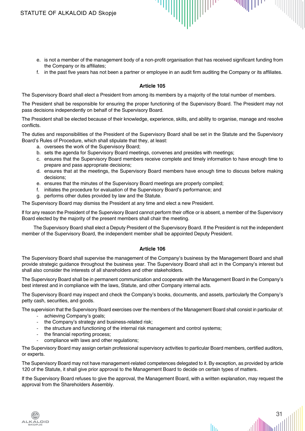e. is not a member of the management body of a non-profit organisation that has received significant funding from the Company or its affiliates;

Ч

f. in the past five years has not been a partner or employee in an audit firm auditing the Company or its affiliates.

#### **Article 105**

The Supervisory Board shall elect a President from among its members by a majority of the total number of members.

The President shall be responsible for ensuring the proper functioning of the Supervisory Board. The President may not pass decisions independently on behalf of the Supervisory Board.

The President shall be elected because of their knowledge, experience, skills, and ability to organise, manage and resolve conflicts.

The duties and responsibilities of the President of the Supervisory Board shall be set in the Statute and the Supervisory Board's Rules of Procedure, which shall stipulate that they, at least:

- a. oversees the work of the Supervisory Board;
- b. sets the agenda for Supervisory Board meetings, convenes and presides with meetings;
- c. ensures that the Supervisory Board members receive complete and timely information to have enough time to prepare and pass appropriate decisions;
- d. ensures that at the meetings, the Supervisory Board members have enough time to discuss before making decisions;
- e. ensures that the minutes of the Supervisory Board meetings are properly compiled;
- f. initiates the procedure for evaluation of the Supervisory Board's performance; and
- g. performs other duties provided by law and the Statute.

The Supervisory Board may dismiss the President at any time and elect a new President.

If for any reason the President of the Supervisory Board cannot perform their office or is absent, a member of the Supervisory Board elected by the majority of the present members shall chair the meeting.

The Supervisory Board shall elect a Deputy President of the Supervisory Board. If the President is not the independent member of the Supervisory Board, the independent member shall be appointed Deputy President.

#### **Article 106**

The Supervisory Board shall supervise the management of the Company's business by the Management Board and shall provide strategic guidance throughout the business year. The Supervisory Board shall act in the Company's interest but shall also consider the interests of all shareholders and other stakeholders.

The Supervisory Board shall be in permanent communication and cooperate with the Management Board in the Company's best interest and in compliance with the laws, Statute, and other Company internal acts.

The Supervisory Board may inspect and check the Company's books, documents, and assets, particularly the Company's petty cash, securities, and goods.

The supervision that the Supervisory Board exercises over the members of the Management Board shall consist in particular of:

- achieving Company's goals;
- the Company's strategy and business-related risk;
- the structure and functioning of the internal risk management and control systems;
- the financial reporting process;
- compliance with laws and other regulations;

The Supervisory Board may assign certain professional supervisory activities to particular Board members, certified auditors, or experts.

The Supervisory Board may not have management-related competences delegated to it. By exception, as provided by article 120 of the Statute, it shall give prior approval to the Management Board to decide on certain types of matters.

If the Supervisory Board refuses to give the approval, the Management Board, with a written explanation, may request the approval from the Shareholders Assembly.

31

ad Million 1

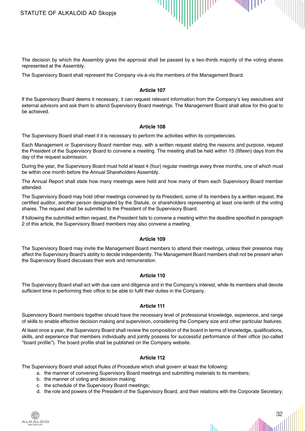

The Supervisory Board shall represent the Company vis-à-vis the members of the Management Board.

#### **Article 107**

If the Supervisory Board deems it necessary, it can request relevant information from the Company's key executives and external advisors and ask them to attend Supervisory Board meetings. The Management Board shall allow for this goal to be achieved.

#### **Article 108**

The Supervisory Board shall meet if it is necessary to perform the activities within its competencies.

Each Management or Supervisory Board member may, with a written request stating the reasons and purpose, request the President of the Supervisory Board to convene a meeting. The meeting shall be held within 15 (fifteen) days from the day of the request submission.

During the year, the Supervisory Board must hold at least 4 (four) regular meetings every three months, one of which must be within one month before the Annual Shareholders Assembly.

The Annual Report shall state how many meetings were held and how many of them each Supervisory Board member attended.

The Supervisory Board may hold other meetings convened by its President, some of its members by a written request, the certified auditor, another person designated by the Statute, or shareholders representing at least one-tenth of the voting shares. The request shall be submitted to the President of the Supervisory Board.

If following the submitted written request, the President fails to convene a meeting within the deadline specified in paragraph 2 of this article, the Supervisory Board members may also convene a meeting.

#### **Article 109**

The Supervisory Board may invite the Management Board members to attend their meetings, unless their presence may affect the Supervisory Board's ability to decide independently. The Management Board members shall not be present when the Supervisory Board discusses their work and remuneration.

#### **Article 110**

The Supervisory Board shall act with due care and diligence and in the Company's interest, while its members shall devote sufficient time in performing their office to be able to fulfil their duties in the Company.

#### **Article 111**

Supervisory Board members together should have the necessary level of professional knowledge, experience, and range of skills to enable effective decision making and supervision, considering the Company size and other particular features.

At least once a year, the Supervisory Board shall review the composition of the board in terms of knowledge, qualifications, skills, and experience that members individually and jointly possess for successful performance of their office (so-called "board profile"). The board profile shall be published on the Company website.

#### **Article 112**

The Supervisory Board shall adopt Rules of Procedure which shall govern at least the following:

- a. the manner of convening Supervisory Board meetings and submitting materials to its members;
- b. the manner of voting and decision making;
- c. the schedule of the Supervisory Board meetings;
- d. the role and powers of the President of the Supervisory Board, and their relations with the Corporate Secretary;

32

allMa<sub>matt</sub>

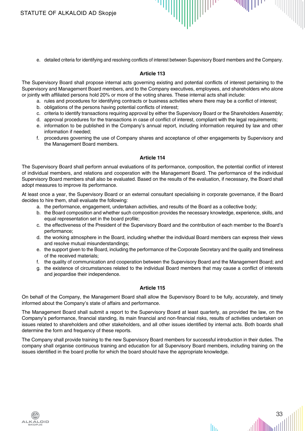e. detailed criteria for identifying and resolving conflicts of interest between Supervisory Board members and the Company.

#### **Article 113**

The Supervisory Board shall propose internal acts governing existing and potential conflicts of interest pertaining to the Supervisory and Management Board members, and to the Company executives, employees, and shareholders who alone or jointly with affiliated persons hold 20% or more of the voting shares. These internal acts shall include:

- a. rules and procedures for identifying contracts or business activities where there may be a conflict of interest;
- b. obligations of the persons having potential conflicts of interest;
- c. criteria to identify transactions requiring approval by either the Supervisory Board or the Shareholders Assembly;
- d. approval procedures for the transactions in case of conflict of interest, compliant with the legal requirements;
- e. information to be published in the Company's annual report, including information required by law and other information if needed;
- f. procedures governing the use of Company shares and acceptance of other engagements by Supervisory and the Management Board members.

#### **Article 114**

The Supervisory Board shall perform annual evaluations of its performance, composition, the potential conflict of interest of individual members, and relations and cooperation with the Management Board. The performance of the individual Supervisory Board members shall also be evaluated. Based on the results of the evaluation, if necessary, the Board shall adopt measures to improve its performance.

At least once a year, the Supervisory Board or an external consultant specialising in corporate governance, if the Board decides to hire them, shall evaluate the following:

- a. the performance, engagement, undertaken activities, and results of the Board as a collective body;
- b. the Board composition and whether such composition provides the necessary knowledge, experience, skills, and equal representation set in the board profile;
- c. the effectiveness of the President of the Supervisory Board and the contribution of each member to the Board's performance;
- d. the working atmosphere in the Board, including whether the individual Board members can express their views and resolve mutual misunderstandings;
- e. the support given to the Board, including the performance of the Corporate Secretary and the quality and timeliness of the received materials;
- f. the quality of communication and cooperation between the Supervisory Board and the Management Board; and
- g. the existence of circumstances related to the individual Board members that may cause a conflict of interests and jeopardise their independence.

#### **Article 115**

On behalf of the Company, the Management Board shall allow the Supervisory Board to be fully, accurately, and timely informed about the Company's state of affairs and performance.

The Management Board shall submit a report to the Supervisory Board at least quarterly, as provided the law, on the Company's performance, financial standing, its main financial and non-financial risks, results of activities undertaken on issues related to shareholders and other stakeholders, and all other issues identified by internal acts. Both boards shall determine the form and frequency of these reports.

The Company shall provide training to the new Supervisory Board members for successful introduction in their duties. The company shall organise continuous training and education for all Supervisory Board members, including training on the issues identified in the board profile for which the board should have the appropriate knowledge.

33<br>||||<sub>|||||||</sub>|||||||||<sub>||||</sub>

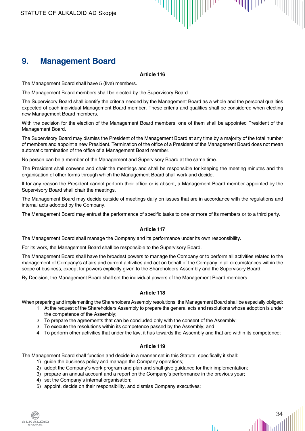

## <span id="page-33-0"></span>**9. Management Board**

#### **Article 116**

The Management Board shall have 5 (five) members.

The Management Board members shall be elected by the Supervisory Board.

The Supervisory Board shall identify the criteria needed by the Management Board as a whole and the personal qualities expected of each individual Management Board member. These criteria and qualities shall be considered when electing new Management Board members.

With the decision for the election of the Management Board members, one of them shall be appointed President of the Management Board.

The Supervisory Board may dismiss the President of the Management Board at any time by a majority of the total number of members and appoint a new President. Termination of the office of a President of the Management Board does not mean automatic termination of the office of a Management Board member.

No person can be a member of the Management and Supervisory Board at the same time.

The President shall convene and chair the meetings and shall be responsible for keeping the meeting minutes and the organisation of other forms through which the Management Board shall work and decide.

If for any reason the President cannot perform their office or is absent, a Management Board member appointed by the Supervisory Board shall chair the meetings.

The Management Board may decide outside of meetings daily on issues that are in accordance with the regulations and internal acts adopted by the Company.

The Management Board may entrust the performance of specific tasks to one or more of its members or to a third party.

#### **Article 117**

The Management Board shall manage the Company and its performance under its own responsibility.

For its work, the Management Board shall be responsible to the Supervisory Board.

The Management Board shall have the broadest powers to manage the Company or to perform all activities related to the management of Company's affairs and current activities and act on behalf of the Company in all circumstances within the scope of business, except for powers explicitly given to the Shareholders Assembly and the Supervisory Board.

By Decision, the Management Board shall set the individual powers of the Management Board members.

#### **Article 118**

When preparing and implementing the Shareholders Assembly resolutions, the Management Board shall be especially obliged:

- 1. At the request of the Shareholders Assembly to prepare the general acts and resolutions whose adoption is under the competence of the Assembly;
- 2. To prepare the agreements that can be concluded only with the consent of the Assembly;
- 3. To execute the resolutions within its competence passed by the Assembly; and
- 4. To perform other activities that under the law, it has towards the Assembly and that are within its competence;

34

Iщ.

#### **Article 119**

The Management Board shall function and decide in a manner set in this Statute, specifically it shall:

- 1) guide the business policy and manage the Company operations;
- 2) adopt the Company's work program and plan and shall give guidance for their implementation;
- 3) prepare an annual account and a report on the Company's performance in the previous year;
- 4) set the Company's internal organisation;
- 5) appoint, decide on their responsibility, and dismiss Company executives;

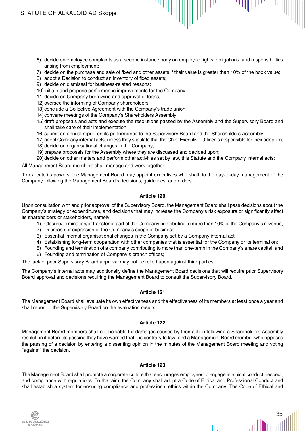#### STATUTE OF ALKALOID AD Skopje

- 6) decide on employee complaints as a second instance body on employee rights, obligations, and responsibilities arising from employment;
- 7) decide on the purchase and sale of fixed and other assets if their value is greater than 10% of the book value;
- 8) adopt a Decision to conduct an inventory of fixed assets;
- 9) decide on dismissal for business-related reasons;
- 10)initiate and propose performance improvements for the Company;
- 11) decide on Company borrowing and approval of loans;
- 12)oversee the informing of Company shareholders;
- 13)conclude a Collective Agreement with the Company's trade union;
- 14) convene meetings of the Company's Shareholders Assembly;
- 15)draft proposals and acts and execute the resolutions passed by the Assembly and the Supervisory Board and shall take care of their implementation;
- 16)submit an annual report on its performance to the Supervisory Board and the Shareholders Assembly;
- 17)adopt Company internal acts, unless they stipulate that the Chief Executive Officer is responsible for their adoption; 18) decide on organisational changes in the Company;
- 19)prepare proposals for the Assembly where they are discussed and decided upon;
- 20)decide on other matters and perform other activities set by law, this Statute and the Company internal acts;

All Management Board members shall manage and work together.

To execute its powers, the Management Board may appoint executives who shall do the day-to-day management of the Company following the Management Board's decisions, guidelines, and orders.

#### **Article 120**

Upon consultation with and prior approval of the Supervisory Board, the Management Board shall pass decisions about the Company's strategy or expenditures, and decisions that may increase the Company's risk exposure or significantly affect its shareholders or stakeholders, namely:

- 1) Closure/termination/or transfer of part of the Company contributing to more than 10% of the Company's revenue;
- 2) Decrease or expansion of the Company's scope of business;
- 3) Essential internal organisational changes in the Company set by a Company internal act;
- 4) Establishing long-term cooperation with other companies that is essential for the Company or its termination;
- 5) Founding and termination of a company contributing to more than one-tenth in the Company's share capital; and
- 6) Founding and termination of Company's branch offices;

The lack of prior Supervisory Board approval may not be relied upon against third parties.

The Company's internal acts may additionally define the Management Board decisions that will require prior Supervisory Board approval and decisions requiring the Management Board to consult the Supervisory Board.

#### **Article 121**

The Management Board shall evaluate its own effectiveness and the effectiveness of its members at least once a year and shall report to the Supervisory Board on the evaluation results.

#### **Article 122**

Management Board members shall not be liable for damages caused by their action following a Shareholders Assembly resolution if before its passing they have warned that it is contrary to law, and a Management Board member who opposes the passing of a decision by entering a dissenting opinion in the minutes of the Management Board meeting and voting "against" the decision.

#### **Article 123**

The Management Board shall promote a corporate culture that encourages employees to engage in ethical conduct, respect, and compliance with regulations. To that aim, the Company shall adopt a Code of Ethical and Professional Conduct and shall establish a system for ensuring compliance and professional ethics within the Company. The Code of Ethical and

35

allMa<sub>math</sub>

lli.

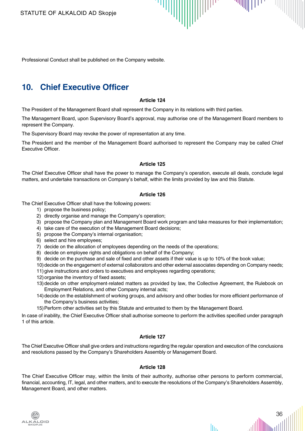

36

ad Million d

Iщ.

<span id="page-35-0"></span>Professional Conduct shall be published on the Company website.

## **10. Chief Executive Officer**

#### **Article 124**

The President of the Management Board shall represent the Company in its relations with third parties.

The Management Board, upon Supervisory Board's approval, may authorise one of the Management Board members to represent the Company.

The Supervisory Board may revoke the power of representation at any time.

The President and the member of the Management Board authorised to represent the Company may be called Chief Executive Officer.

#### **Article 125**

The Chief Executive Officer shall have the power to manage the Company's operation, execute all deals, conclude legal matters, and undertake transactions on Company's behalf, within the limits provided by law and this Statute.

#### **Article 126**

The Chief Executive Officer shall have the following powers:

- 1) propose the business policy;
- 2) directly organise and manage the Company's operation;
- 3) propose the Company plan and Management Board work program and take measures for their implementation;
- 4) take care of the execution of the Management Board decisions;
- 5) propose the Company's internal organisation;
- 6) select and hire employees;
- 7) decide on the allocation of employees depending on the needs of the operations;
- 8) decide on employee rights and obligations on behalf of the Company;
- 9) decide on the purchase and sale of fixed and other assets if their value is up to 10% of the book value;
- 10) decide on the engagement of external collaborators and other external associates depending on Company needs;
- 11)give instructions and orders to executives and employees regarding operations;
- 12) organise the inventory of fixed assets;
- 13)decide on other employment-related matters as provided by law, the Collective Agreement, the Rulebook on Employment Relations, and other Company internal acts;
- 14) decide on the establishment of working groups, and advisory and other bodies for more efficient performance of the Company's business activities;
- 15)Perform other activities set by this Statute and entrusted to them by the Management Board.

In case of inability, the Chief Executive Officer shall authorise someone to perform the activities specified under paragraph 1 of this article.

#### **Article 127**

The Chief Executive Officer shall give orders and instructions regarding the regular operation and execution of the conclusions and resolutions passed by the Company's Shareholders Assembly or Management Board.

#### **Article 128**

The Chief Executive Officer may, within the limits of their authority, authorise other persons to perform commercial, financial, accounting, IT, legal, and other matters, and to execute the resolutions of the Company's Shareholders Assembly, Management Board, and other matters.

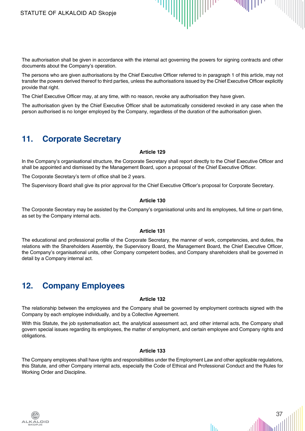<span id="page-36-0"></span>The authorisation shall be given in accordance with the internal act governing the powers for signing contracts and other documents about the Company's operation.

Ч

The persons who are given authorisations by the Chief Executive Officer referred to in paragraph 1 of this article, may not transfer the powers derived thereof to third parties, unless the authorisations issued by the Chief Executive Officer explicitly provide that right.

The Chief Executive Officer may, at any time, with no reason, revoke any authorisation they have given.

The authorisation given by the Chief Executive Officer shall be automatically considered revoked in any case when the person authorised is no longer employed by the Company, regardless of the duration of the authorisation given.

## **11. Corporate Secretary**

#### **Article 129**

In the Company's organisational structure, the Corporate Secretary shall report directly to the Chief Executive Officer and shall be appointed and dismissed by the Management Board, upon a proposal of the Chief Executive Officer.

The Corporate Secretary's term of office shall be 2 years.

The Supervisory Board shall give its prior approval for the Chief Executive Officer's proposal for Corporate Secretary.

#### **Article 130**

The Corporate Secretary may be assisted by the Company's organisational units and its employees, full time or part-time, as set by the Company internal acts.

#### **Article 131**

The educational and professional profile of the Corporate Secretary, the manner of work, competencies, and duties, the relations with the Shareholders Assembly, the Supervisory Board, the Management Board, the Chief Executive Officer, the Company's organisational units, other Company competent bodies, and Company shareholders shall be governed in detail by a Company internal act.

## **12. Company Employees**

#### **Article 132**

The relationship between the employees and the Company shall be governed by employment contracts signed with the Company by each employee individually, and by a Collective Agreement.

With this Statute, the job systematisation act, the analytical assessment act, and other internal acts, the Company shall govern special issues regarding its employees, the matter of employment, and certain employee and Company rights and obligations.

#### **Article 133**

The Company employees shall have rights and responsibilities under the Employment Law and other applicable regulations, this Statute, and other Company internal acts, especially the Code of Ethical and Professional Conduct and the Rules for Working Order and Discipline.

37<br>|||||<sub>||||||</sub>|||||||||||<sub>|||||</sub>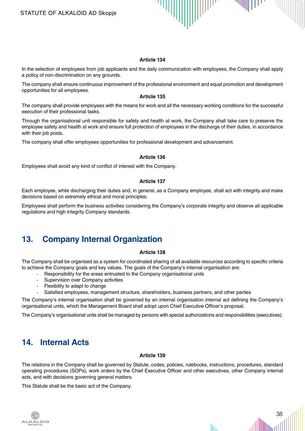38

انتشاااااان

Iщ.

#### **Article 134**

<span id="page-37-0"></span>In the selection of employees from job applicants and the daily communication with employees, the Company shall apply a policy of non-discrimination on any grounds.

The company shall ensure continuous improvement of the professional environment and equal promotion and development opportunities for all employees.

#### **Article 135**

The company shall provide employees with the means for work and all the necessary working conditions for the successful execution of their professional tasks.

Through the organisational unit responsible for safety and health at work, the Company shall take care to preserve the employee safety and health at work and ensure full protection of employees in the discharge of their duties, in accordance with their job posts.

The company shall offer employees opportunities for professional development and advancement.

#### **Article 136**

Employees shall avoid any kind of conflict of interest with the Company.

#### **Article 137**

Each employee, while discharging their duties and, in general, as a Company employee, shall act with integrity and make decisions based on extremely ethical and moral principles.

Employees shall perform the business activities considering the Company's corporate integrity and observe all applicable regulations and high integrity Company standards.

## **13. Company Internal Organization**

#### **Article 138**

The Company shall be organised as a system for coordinated sharing of all available resources according to specific criteria to achieve the Company goals and key values. The goals of the Company's internal organisation are:

- Responsibility for the areas entrusted to the Company organisational units
- Supervision over Company activities
- Flexibility to adapt to change
- Satisfied employees, management structure, shareholders, business partners, and other parties

The Company's internal organisation shall be governed by an internal organisation internal act defining the Company's organisational units, which the Management Board shall adopt upon Chief Executive Officer's proposal.

The Company's organisational units shall be managed by persons with special authorizations and responsibilities (executives).

## **14. Internal Acts**

#### **Article 139**

The relations in the Company shall be governed by Statute, codes, policies, rulebooks, instructions, procedures, standard operating procedures (SOPs), work orders by the Chief Executive Officer and other executives, other Company internal acts, and with decisions governing general matters.

This Statute shall be the basic act of the Company.

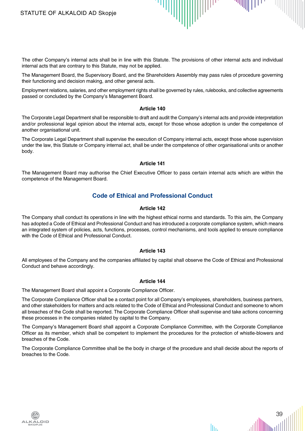#### STATUTE OF ALKALOID AD Skopje

The other Company's internal acts shall be in line with this Statute. The provisions of other internal acts and individual internal acts that are contrary to this Statute, may not be applied.

The Management Board, the Supervisory Board, and the Shareholders Assembly may pass rules of procedure governing their functioning and decision making, and other general acts.

Employment relations, salaries, and other employment rights shall be governed by rules, rulebooks, and collective agreements passed or concluded by the Company's Management Board.

#### **Article 140**

The Corporate Legal Department shall be responsible to draft and audit the Company's internal acts and provide interpretation and/or professional legal opinion about the internal acts, except for those whose adoption is under the competence of another organisational unit.

The Corporate Legal Department shall supervise the execution of Company internal acts, except those whose supervision under the law, this Statute or Company internal act, shall be under the competence of other organisational units or another body.

#### **Article 141**

The Management Board may authorise the Chief Executive Officer to pass certain internal acts which are within the competence of the Management Board.

#### **Code of Ethical and Professional Conduct**

#### **Article 142**

The Company shall conduct its operations in line with the highest ethical norms and standards. To this aim, the Company has adopted a Code of Ethical and Professional Conduct and has introduced a corporate compliance system, which means an integrated system of policies, acts, functions, processes, control mechanisms, and tools applied to ensure compliance with the Code of Ethical and Professional Conduct.

#### **Article 143**

All employees of the Company and the companies affiliated by capital shall observe the Code of Ethical and Professional Conduct and behave accordingly.

#### **Article 144**

The Management Board shall appoint a Corporate Compliance Officer.

The Corporate Compliance Officer shall be a contact point for all Company's employees, shareholders, business partners, and other stakeholders for matters and acts related to the Code of Ethical and Professional Conduct and someone to whom all breaches of the Code shall be reported. The Corporate Compliance Officer shall supervise and take actions concerning these processes in the companies related by capital to the Company.

The Company's Management Board shall appoint a Corporate Compliance Committee, with the Corporate Compliance Officer as its member, which shall be competent to implement the procedures for the protection of whistle-blowers and breaches of the Code.

The Corporate Compliance Committee shall be the body in charge of the procedure and shall decide about the reports of breaches to the Code.

39<br>||||<sub>||||||</sub>|||||||||||<sub>||||</sub>

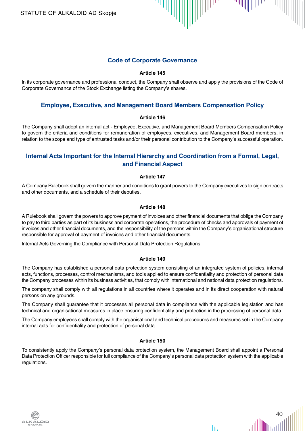

#### **Article 145**

In its corporate governance and professional conduct, the Company shall observe and apply the provisions of the Code of Corporate Governance of the Stock Exchange listing the Company's shares.

#### **Employee, Executive, and Management Board Members Compensation Policy**

#### **Article 146**

The Company shall adopt an internal act - Employee, Executive, and Management Board Members Compensation Policy to govern the criteria and conditions for remuneration of employees, executives, and Management Board members, in relation to the scope and type of entrusted tasks and/or their personal contribution to the Company's successful operation.

#### **Internal Acts Important for the Internal Hierarchy and Coordination from a Formal, Legal, and Financial Aspect**

#### **Article 147**

A Company Rulebook shall govern the manner and conditions to grant powers to the Company executives to sign contracts and other documents, and a schedule of their deputies.

#### **Article 148**

A Rulebook shall govern the powers to approve payment of invoices and other financial documents that oblige the Company to pay to third parties as part of its business and corporate operations, the procedure of checks and approvals of payment of invoices and other financial documents, and the responsibility of the persons within the Company's organisational structure responsible for approval of payment of invoices and other financial documents.

Internal Acts Governing the Compliance with Personal Data Protection Regulations

#### **Article 149**

The Company has established a personal data protection system consisting of an integrated system of policies, internal acts, functions, processes, control mechanisms, and tools applied to ensure confidentiality and protection of personal data the Company processes within its business activities, that comply with international and national data protection regulations.

The company shall comply with all regulations in all countries where it operates and in its direct cooperation with natural persons on any grounds.

The Company shall guarantee that it processes all personal data in compliance with the applicable legislation and has technical and organisational measures in place ensuring confidentiality and protection in the processing of personal data.

The Company employees shall comply with the organisational and technical procedures and measures set in the Company internal acts for confidentiality and protection of personal data.

#### **Article 150**

To consistently apply the Company's personal data protection system, the Management Board shall appoint a Personal Data Protection Officer responsible for full compliance of the Company's personal data protection system with the applicable regulations.

40

Ìп.

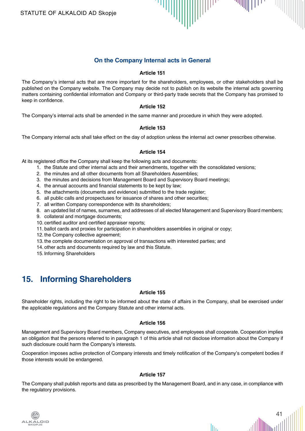#### **On the Company Internal acts in General**

#### **Article 151**

<span id="page-40-0"></span>The Company's internal acts that are more important for the shareholders, employees, or other stakeholders shall be published on the Company website. The Company may decide not to publish on its website the internal acts governing matters containing confidential information and Company or third-party trade secrets that the Company has promised to keep in confidence.

#### **Article 152**

The Company's internal acts shall be amended in the same manner and procedure in which they were adopted.

#### **Article 153**

The Company internal acts shall take effect on the day of adoption unless the internal act owner prescribes otherwise.

#### **Article 154**

At its registered office the Company shall keep the following acts and documents:

- 1. the Statute and other internal acts and their amendments, together with the consolidated versions;
- 2. the minutes and all other documents from all Shareholders Assemblies;
- 3. the minutes and decisions from Management Board and Supervisory Board meetings;
- 4. the annual accounts and financial statements to be kept by law;
- 5. the attachments (documents and evidence) submitted to the trade register;
- 6. all public calls and prospectuses for issuance of shares and other securities;
- 7. all written Company correspondence with its shareholders;
- 8. an updated list of names, surnames, and addresses of all elected Management and Supervisory Board members;
- 9. collateral and mortgage documents;
- 10. certified auditor and certified appraiser reports;
- 11. ballot cards and proxies for participation in shareholders assemblies in original or copy;
- 12. the Company collective agreement;
- 13. the complete documentation on approval of transactions with interested parties; and
- 14. other acts and documents required by law and this Statute.
- 15. Informing Shareholders

ALIZAL OID

## **15. Informing Shareholders**

#### **Article 155**

Shareholder rights, including the right to be informed about the state of affairs in the Company, shall be exercised under the applicable regulations and the Company Statute and other internal acts.

#### **Article 156**

Management and Supervisory Board members, Company executives, and employees shall cooperate. Cooperation implies an obligation that the persons referred to in paragraph 1 of this article shall not disclose information about the Company if such disclosure could harm the Company's interests.

Cooperation imposes active protection of Company interests and timely notification of the Company's competent bodies if those interests would be endangered.

#### **Article 157**

The Company shall publish reports and data as prescribed by the Management Board, and in any case, in compliance with the regulatory provisions.

41

**Museu**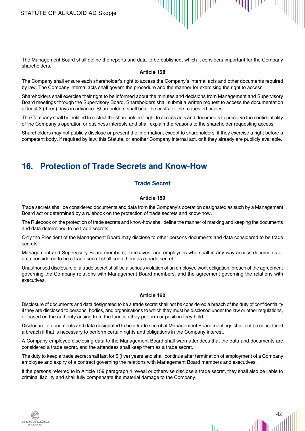**ALK ALOID** 

<span id="page-41-0"></span>The Management Board shall define the reports and data to be published, which it considers important for the Company shareholders.

Ш

#### **Article 158**

The Company shall ensure each shareholder's right to access the Company's internal acts and other documents required by law. The Company internal acts shall govern the procedure and the manner for exercising the right to access.

Shareholders shall exercise their right to be informed about the minutes and decisions from Management and Supervisory Board meetings through the Supervisory Board. Shareholders shall submit a written request to access the documentation at least 3 (three) days in advance. Shareholders shall bear the costs for the requested copies.

The Company shall be entitled to restrict the shareholders' right to access acts and documents to preserve the confidentiality of the Company's operation or business interests and shall explain the reasons to the shareholder requesting access.

Shareholders may not publicly disclose or present the information, except to shareholders, if they exercise a right before a competent body, if required by law, this Statute, or another Company internal act, or if they already are publicly available.

## **16. Protection of Trade Secrets and Know-How**

#### **Trade Secret**

#### **Article 159**

Trade secrets shall be considered documents and data from the Company's operation designated as such by a Management Board act or determined by a rulebook on the protection of trade secrets and know-how.

The Rulebook on the protection of trade secrets and know-how shall define the manner of marking and keeping the documents and data determined to be trade secrets.

Only the President of the Management Board may disclose to other persons documents and data considered to be trade secrets.

Management and Supervisory Board members, executives, and employees who shall in any way access documents or data considered to be a trade secret shall keep them as a trade secret.

Unauthorised disclosure of a trade secret shall be a serious violation of an employee work obligation, breach of the agreement governing the Company relations with Management Board members, and the agreement governing the relations with executives.

#### **Article 160**

Disclosure of documents and data designated to be a trade secret shall not be considered a breach of the duty of confidentiality if they are disclosed to persons, bodies, and organisations to which they must be disclosed under the law or other regulations, or based on the authority arising from the function they perform or position they hold.

Disclosure of documents and data designated to be a trade secret at Management Board meetings shall not be considered a breach if that is necessary to perform certain rights and obligations in the Company interest.

A Company employee disclosing data to the Management Board shall warn attendees that the data and documents are considered a trade secret, and the attendees shall keep them as a trade secret.

The duty to keep a trade secret shall last for 5 (five) years and shall continue after termination of employment of a Company employee and expiry of a contract governing the relations with Management Board members and executives.

If the persons referred to in Article 159 paragraph 4 reveal or otherwise disclose a trade secret, they shall also be liable to criminal liability and shall fully compensate the material damage to the Company.

42

ad Million d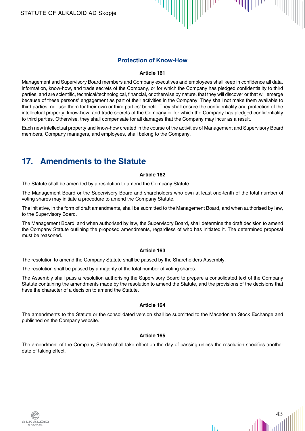#### **Protection of Know-How**

#### **Article 161**

<span id="page-42-0"></span>Management and Supervisory Board members and Company executives and employees shall keep in confidence all data, information, know-how, and trade secrets of the Company, or for which the Company has pledged confidentiality to third parties, and are scientific, technical/technological, financial, or otherwise by nature, that they will discover or that will emerge because of these persons' engagement as part of their activities in the Company. They shall not make them available to third parties, nor use them for their own or third parties' benefit. They shall ensure the confidentiality and protection of the intellectual property, know-how, and trade secrets of the Company or for which the Company has pledged confidentiality to third parties. Otherwise, they shall compensate for all damages that the Company may incur as a result.

Each new intellectual property and know-how created in the course of the activities of Management and Supervisory Board members, Company managers, and employees, shall belong to the Company.

## **17. Amendments to the Statute**

#### **Article 162**

The Statute shall be amended by a resolution to amend the Company Statute.

The Management Board or the Supervisory Board and shareholders who own at least one-tenth of the total number of voting shares may initiate a procedure to amend the Company Statute.

The initiative, in the form of draft amendments, shall be submitted to the Management Board, and when authorised by law, to the Supervisory Board.

The Management Board, and when authorised by law, the Supervisory Board, shall determine the draft decision to amend the Company Statute outlining the proposed amendments, regardless of who has initiated it. The determined proposal must be reasoned.

#### **Article 163**

The resolution to amend the Company Statute shall be passed by the Shareholders Assembly.

The resolution shall be passed by a majority of the total number of voting shares.

The Assembly shall pass a resolution authorising the Supervisory Board to prepare a consolidated text of the Company Statute containing the amendments made by the resolution to amend the Statute, and the provisions of the decisions that have the character of a decision to amend the Statute.

#### **Article 164**

The amendments to the Statute or the consolidated version shall be submitted to the Macedonian Stock Exchange and published on the Company website.

#### **Article 165**

The amendment of the Company Statute shall take effect on the day of passing unless the resolution specifies another date of taking effect.

43

allMa<sub>math</sub>

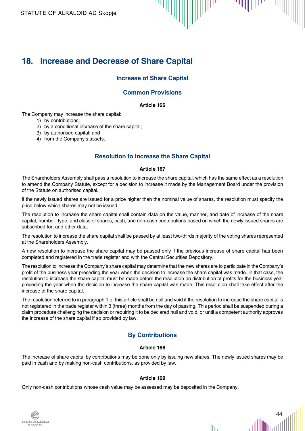## <span id="page-43-0"></span>**18. Increase and Decrease of Share Capital**

#### **Increase of Share Capital**

Ч

 $\mathbb{H}^{\mathfrak{p}}$ 

#### **Common Provisions**

#### **Article 166**

The Company may increase the share capital:

- 1) by contributions;
- 2) by a conditional increase of the share capital;
- 3) by authorised capital; and
- 4) from the Company's assets.

#### **Resolution to Increase the Share Capital**

#### **Article 167**

The Shareholders Assembly shall pass a resolution to increase the share capital, which has the same effect as a resolution to amend the Company Statute, except for a decision to increase it made by the Management Board under the provision of the Statute on authorised capital.

If the newly issued shares are issued for a price higher than the nominal value of shares, the resolution must specify the price below which shares may not be issued.

The resolution to increase the share capital shall contain data on the value, manner, and date of increase of the share capital, number, type, and class of shares, cash, and non-cash contributions based on which the newly issued shares are subscribed for, and other data.

The resolution to increase the share capital shall be passed by at least two-thirds majority of the voting shares represented at the Shareholders Assembly.

A new resolution to increase the share capital may be passed only if the previous increase of share capital has been completed and registered in the trade register and with the Central Securities Depository.

The resolution to increase the Company's share capital may determine that the new shares are to participate in the Company's profit of the business year preceding the year when the decision to increase the share capital was made. In that case, the resolution to increase the share capital must be made before the resolution on distribution of profits for the business year preceding the year when the decision to increase the share capital was made. This resolution shall take effect after the increase of the share capital.

The resolution referred to in paragraph 1 of this article shall be null and void if the resolution to increase the share capital is not registered in the trade register within 3 (three) months from the day of passing. This period shall be suspended during a claim procedure challenging the decision or requiring it to be declared null and void, or until a competent authority approves the increase of the share capital if so provided by law.

#### **By Contributions**

#### **Article 168**

The increase of share capital by contributions may be done only by issuing new shares. The newly issued shares may be paid in cash and by making non-cash contributions, as provided by law.

#### **Article 169**

44

**A** A Million II

Iщ.

Only non-cash contributions whose cash value may be assessed may be deposited in the Company.

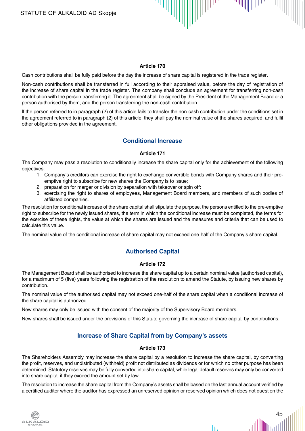#### **Article 170**

Cash contributions shall be fully paid before the day the increase of share capital is registered in the trade register.

Non-cash contributions shall be transferred in full according to their appraised value, before the day of registration of the increase of share capital in the trade register. The company shall conclude an agreement for transferring non-cash contribution with the person transferring it. The agreement shall be signed by the President of the Management Board or a person authorised by them, and the person transferring the non-cash contribution.

If the person referred to in paragraph (2) of this article fails to transfer the non-cash contribution under the conditions set in the agreement referred to in paragraph (2) of this article, they shall pay the nominal value of the shares acquired, and fulfil other obligations provided in the agreement.

#### **Conditional Increase**

#### **Article 171**

The Company may pass a resolution to conditionally increase the share capital only for the achievement of the following objectives:

- 1. Company's creditors can exercise the right to exchange convertible bonds with Company shares and their preemptive right to subscribe for new shares the Company is to issue;
- 2. preparation for merger or division by separation with takeover or spin off;
- 3. exercising the right to shares of employees, Management Board members, and members of such bodies of affiliated companies.

The resolution for conditional increase of the share capital shall stipulate the purpose, the persons entitled to the pre-emptive right to subscribe for the newly issued shares, the term in which the conditional increase must be completed, the terms for the exercise of these rights, the value at which the shares are issued and the measures and criteria that can be used to calculate this value.

The nominal value of the conditional increase of share capital may not exceed one-half of the Company's share capital.

#### **Authorised Capital**

#### **Article 172**

The Management Board shall be authorised to increase the share capital up to a certain nominal value (authorised capital), for a maximum of 5 (five) years following the registration of the resolution to amend the Statute, by issuing new shares by contribution.

The nominal value of the authorised capital may not exceed one-half of the share capital when a conditional increase of the share capital is authorized.

New shares may only be issued with the consent of the majority of the Supervisory Board members.

New shares shall be issued under the provisions of this Statute governing the increase of share capital by contributions.

#### **Increase of Share Capital from by Company's assets**

#### **Article 173**

The Shareholders Assembly may increase the share capital by a resolution to increase the share capital, by converting the profit, reserves, and undistributed (withheld) profit not distributed as dividends or for which no other purpose has been determined. Statutory reserves may be fully converted into share capital, while legal default reserves may only be converted into share capital if they exceed the amount set by law.

The resolution to increase the share capital from the Company's assets shall be based on the last annual account verified by a certified auditor where the auditor has expressed an unreserved opinion or reserved opinion which does not question the



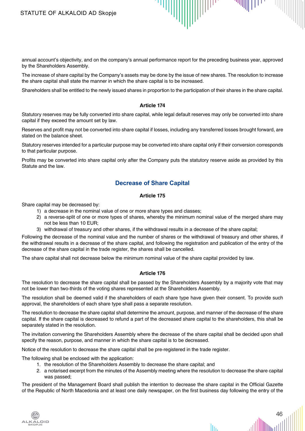#### STATUTE OF ALKALOID AD Skopje

annual account's objectivity, and on the company's annual performance report for the preceding business year, approved by the Shareholders Assembly.

Ш

The increase of share capital by the Company's assets may be done by the issue of new shares. The resolution to increase the share capital shall state the manner in which the share capital is to be increased.

Shareholders shall be entitled to the newly issued shares in proportion to the participation of their shares in the share capital.

#### **Article 174**

Statutory reserves may be fully converted into share capital, while legal default reserves may only be converted into share capital if they exceed the amount set by law.

Reserves and profit may not be converted into share capital if losses, including any transferred losses brought forward, are stated on the balance sheet.

Statutory reserves intended for a particular purpose may be converted into share capital only if their conversion corresponds to that particular purpose.

Profits may be converted into share capital only after the Company puts the statutory reserve aside as provided by this Statute and the law.

#### **Decrease of Share Capital**

#### **Article 175**

Share capital may be decreased by:

- 1) a decrease in the nominal value of one or more share types and classes;
- 2) a reverse-split of one or more types of shares, whereby the minimum nominal value of the merged share may not be less than 10 EUR;
- 3) withdrawal of treasury and other shares, if the withdrawal results in a decrease of the share capital;

Following the decrease of the nominal value and the number of shares or the withdrawal of treasury and other shares, if the withdrawal results in a decrease of the share capital, and following the registration and publication of the entry of the decrease of the share capital in the trade register, the shares shall be cancelled.

The share capital shall not decrease below the minimum nominal value of the share capital provided by law.

#### **Article 176**

The resolution to decrease the share capital shall be passed by the Shareholders Assembly by a majority vote that may not be lower than two-thirds of the voting shares represented at the Shareholders Assembly.

The resolution shall be deemed valid if the shareholders of each share type have given their consent. To provide such approval, the shareholders of each share type shall pass a separate resolution.

The resolution to decrease the share capital shall determine the amount, purpose, and manner of the decrease of the share capital. If the share capital is decreased to refund a part of the decreased share capital to the shareholders, this shall be separately stated in the resolution.

The invitation convening the Shareholders Assembly where the decrease of the share capital shall be decided upon shall specify the reason, purpose, and manner in which the share capital is to be decreased.

Notice of the resolution to decrease the share capital shall be pre-registered in the trade register.

The following shall be enclosed with the application:

- 1. the resolution of the Shareholders Assembly to decrease the share capital; and
- 2. a notarised excerpt from the minutes of the Assembly meeting where the resolution to decrease the share capital was passed;

46

allMa<sub>matt</sub>

Iщ.

The president of the Management Board shall publish the intention to decrease the share capital in the Official Gazette of the Republic of North Macedonia and at least one daily newspaper, on the first business day following the entry of the

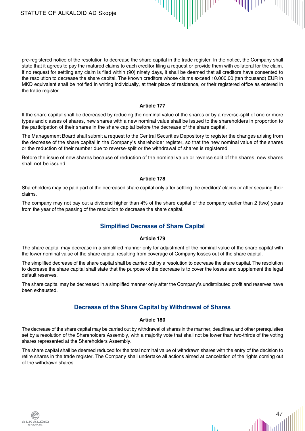pre-registered notice of the resolution to decrease the share capital in the trade register. In the notice, the Company shall state that it agrees to pay the matured claims to each creditor filing a request or provide them with collateral for the claim. If no request for settling any claim is filed within (90) ninety days, it shall be deemed that all creditors have consented to the resolution to decrease the share capital. The known creditors whose claims exceed 10.000,00 (ten thousand) EUR in MKD equivalent shall be notified in writing individually, at their place of residence, or their registered office as entered in the trade register.

#### **Article 177**

If the share capital shall be decreased by reducing the nominal value of the shares or by a reverse-split of one or more types and classes of shares, new shares with a new nominal value shall be issued to the shareholders in proportion to the participation of their shares in the share capital before the decrease of the share capital.

The Management Board shall submit a request to the Central Securities Depository to register the changes arising from the decrease of the share capital in the Company's shareholder register, so that the new nominal value of the shares or the reduction of their number due to reverse-split or the withdrawal of shares is registered.

Before the issue of new shares because of reduction of the nominal value or reverse split of the shares, new shares shall not be issued.

#### **Article 178**

Shareholders may be paid part of the decreased share capital only after settling the creditors' claims or after securing their claims.

The company may not pay out a dividend higher than 4% of the share capital of the company earlier than 2 (two) years from the year of the passing of the resolution to decrease the share capital.

#### **Simplified Decrease of Share Capital**

#### **Article 179**

The share capital may decrease in a simplified manner only for adjustment of the nominal value of the share capital with the lower nominal value of the share capital resulting from coverage of Company losses out of the share capital.

The simplified decrease of the share capital shall be carried out by a resolution to decrease the share capital. The resolution to decrease the share capital shall state that the purpose of the decrease is to cover the losses and supplement the legal default reserves.

The share capital may be decreased in a simplified manner only after the Company's undistributed profit and reserves have been exhausted.

#### **Decrease of the Share Capital by Withdrawal of Shares**

#### **Article 180**

The decrease of the share capital may be carried out by withdrawal of shares in the manner, deadlines, and other prerequisites set by a resolution of the Shareholders Assembly, with a majority vote that shall not be lower than two-thirds of the voting shares represented at the Shareholders Assembly.

The share capital shall be deemed reduced for the total nominal value of withdrawn shares with the entry of the decision to retire shares in the trade register. The Company shall undertake all actions aimed at cancelation of the rights coming out of the withdrawn shares.

47

انتشاااااان

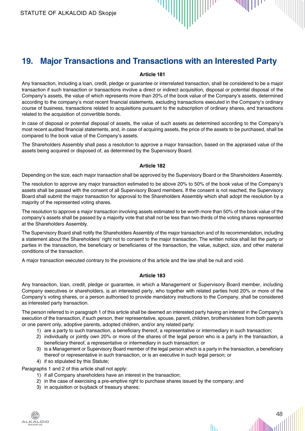## <span id="page-47-0"></span>**19. Major Transactions and Transactions with an Interested Party**

#### **Article 181**

Ш

Any transaction, including a loan, credit, pledge or guarantee or interrelated transaction, shall be considered to be a major transaction if such transaction or transactions involve a direct or indirect acquisition, disposal or potential disposal of the Company's assets, the value of which represents more than 20% of the book value of the Company's assets, determined according to the company's most recent financial statements, excluding transactions executed in the Company's ordinary course of business, transactions related to acquisitions pursuant to the subscription of ordinary shares, and transactions related to the acquisition of convertible bonds.

In case of disposal or potential disposal of assets, the value of such assets as determined according to the Company's most recent audited financial statements, and, in case of acquiring assets, the price of the assets to be purchased, shall be compared to the book value of the Company's assets.

The Shareholders Assembly shall pass a resolution to approve a major transaction, based on the appraised value of the assets being acquired or disposed of, as determined by the Supervisory Board.

#### **Article 182**

Depending on the size, each major transaction shall be approved by the Supervisory Board or the Shareholders Assembly.

The resolution to approve any major transaction estimated to be above 20% to 50% of the book value of the Company's assets shall be passed with the consent of all Supervisory Board members. If the consent is not reached, the Supervisory Board shall submit the major transaction for approval to the Shareholders Assembly which shall adopt the resolution by a majority of the represented voting shares.

The resolution to approve a major transaction involving assets estimated to be worth more than 50% of the book value of the company's assets shall be passed by a majority vote that shall not be less than two-thirds of the voting shares represented at the Shareholders Assembly.

The Supervisory Board shall notify the Shareholders Assembly of the major transaction and of its recommendation, including a statement about the Shareholders' right not to consent to the major transaction. The written notice shall list the party or parties in the transaction, the beneficiary or beneficiaries of the transaction, the value, subject, size, and other material conditions of the transaction.

A major transaction executed contrary to the provisions of this article and the law shall be null and void.

#### **Article 183**

Any transaction, loan, credit, pledge or guarantee, in which a Management or Supervisory Board member, including Company executives or shareholders, is an interested party, who together with related parties hold 20% or more of the Company's voting shares, or a person authorised to provide mandatory instructions to the Company, shall be considered as interested party transaction.

The person referred to in paragraph 1 of this article shall be deemed an interested party having an interest in the Company's execution of the transaction, if such person, their representative, spouse, parent, children, brothers/sisters from both parents or one parent only, adoptive parents, adopted children, and/or any related party:

- 1) are a party to such transaction, a beneficiary thereof, a representative or intermediary in such transaction;
- 2) individually or jointly own 20% or more of the shares of the legal person who is a party in the transaction, a beneficiary thereof, a representative or intermediary in such transaction; or
- 3) is a Management or Supervisory Board member of the legal person which is a party in the transaction, a beneficiary thereof or representative in such transaction, or is an executive in such legal person; or

48

alllinari

lli.

4) if so stipulated by this Statute;

Paragraphs 1 and 2 of this article shall not apply:

- 1) if all Company shareholders have an interest in the transaction;
- 2) in the case of exercising a pre-emptive right to purchase shares issued by the company; and
- 3) in acquisition or buyback of treasury shares;

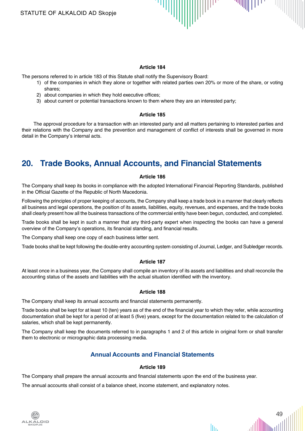

49

ad Million d

lli.

#### **Article 184**

<span id="page-48-0"></span>The persons referred to in article 183 of this Statute shall notify the Supervisory Board:

- 1) of the companies in which they alone or together with related parties own 20% or more of the share, or voting shares;
- 2) about companies in which they hold executive offices;
- 3) about current or potential transactions known to them where they are an interested party;

#### **Article 185**

The approval procedure for a transaction with an interested party and all matters pertaining to interested parties and their relations with the Company and the prevention and management of conflict of interests shall be governed in more detail in the Company's internal acts.

## **20. Trade Books, Annual Accounts, and Financial Statements**

#### **Article 186**

The Company shall keep its books in compliance with the adopted International Financial Reporting Standards, published in the Official Gazette of the Republic of North Macedonia.

Following the principles of proper keeping of accounts, the Company shall keep a trade book in a manner that clearly reflects all business and legal operations, the position of its assets, liabilities, equity, revenues, and expenses, and the trade books shall clearly present how all the business transactions of the commercial entity have been begun, conducted, and completed.

Trade books shall be kept in such a manner that any third-party expert when inspecting the books can have a general overview of the Company's operations, its financial standing, and financial results.

The Company shall keep one copy of each business letter sent.

Trade books shall be kept following the double-entry accounting system consisting of Journal, Ledger, and Subledger records.

#### **Article 187**

At least once in a business year, the Company shall compile an inventory of its assets and liabilities and shall reconcile the accounting status of the assets and liabilities with the actual situation identified with the inventory.

#### **Article 188**

The Company shall keep its annual accounts and financial statements permanently.

Trade books shall be kept for at least 10 (ten) years as of the end of the financial year to which they refer, while accounting documentation shall be kept for a period of at least 5 (five) years, except for the documentation related to the calculation of salaries, which shall be kept permanently.

The Company shall keep the documents referred to in paragraphs 1 and 2 of this article in original form or shall transfer them to electronic or micrographic data processing media.

#### **Annual Accounts and Financial Statements**

#### **Article 189**

The Company shall prepare the annual accounts and financial statements upon the end of the business year.

The annual accounts shall consist of a balance sheet, income statement, and explanatory notes.

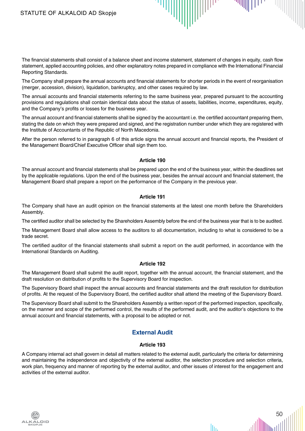#### STATUTE OF ALKALOID AD Skopje

The financial statements shall consist of a balance sheet and income statement, statement of changes in equity, cash flow statement, applied accounting policies, and other explanatory notes prepared in compliance with the International Financial Reporting Standards.

The Company shall prepare the annual accounts and financial statements for shorter periods in the event of reorganisation (merger, accession, division), liquidation, bankruptcy, and other cases required by law.

The annual accounts and financial statements referring to the same business year, prepared pursuant to the accounting provisions and regulations shall contain identical data about the status of assets, liabilities, income, expenditures, equity, and the Company's profits or losses for the business year.

The annual account and financial statements shall be signed by the accountant i.e. the certified accountant preparing them, stating the date on which they were prepared and signed, and the registration number under which they are registered with the Institute of Accountants of the Republic of North Macedonia.

After the person referred to in paragraph 6 of this article signs the annual account and financial reports, the President of the Management Board/Chief Executive Officer shall sign them too.

#### **Article 190**

The annual account and financial statements shall be prepared upon the end of the business year, within the deadlines set by the applicable regulations. Upon the end of the business year, besides the annual account and financial statement, the Management Board shall prepare a report on the performance of the Company in the previous year.

#### **Article 191**

The Company shall have an audit opinion on the financial statements at the latest one month before the Shareholders Assembly.

The certified auditor shall be selected by the Shareholders Assembly before the end of the business year that is to be audited.

The Management Board shall allow access to the auditors to all documentation, including to what is considered to be a trade secret.

The certified auditor of the financial statements shall submit a report on the audit performed, in accordance with the International Standards on Auditing.

#### **Article 192**

The Management Board shall submit the audit report, together with the annual account, the financial statement, and the draft resolution on distribution of profits to the Supervisory Board for inspection.

The Supervisory Board shall inspect the annual accounts and financial statements and the draft resolution for distribution of profits. At the request of the Supervisory Board, the certified auditor shall attend the meeting of the Supervisory Board.

The Supervisory Board shall submit to the Shareholders Assembly a written report of the performed inspection, specifically, on the manner and scope of the performed control, the results of the performed audit, and the auditor's objections to the annual account and financial statements, with a proposal to be adopted or not.

#### **External Audit**

#### **Article 193**

A Company internal act shall govern in detail all matters related to the external audit, particularly the criteria for determining and maintaining the independence and objectivity of the external auditor, the selection procedure and selection criteria, work plan, frequency and manner of reporting by the external auditor, and other issues of interest for the engagement and activities of the external auditor.



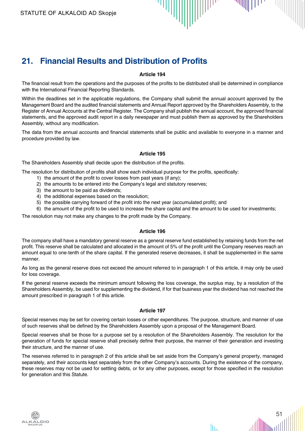## <span id="page-50-0"></span>**21. Financial Results and Distribution of Profits**

#### **Article 194**

Ч

The financial result from the operations and the purposes of the profits to be distributed shall be determined in compliance with the International Financial Reporting Standards.

Within the deadlines set in the applicable regulations, the Company shall submit the annual account approved by the Management Board and the audited financial statements and Annual Report approved by the Shareholders Assembly, to the Register of Annual Accounts at the Central Register. The Company shall publish the annual account, the approved financial statements, and the approved audit report in a daily newspaper and must publish them as approved by the Shareholders Assembly, without any modification.

The data from the annual accounts and financial statements shall be public and available to everyone in a manner and procedure provided by law.

#### **Article 195**

The Shareholders Assembly shall decide upon the distribution of the profits.

The resolution for distribution of profits shall show each individual purpose for the profits, specifically:

- 1) the amount of the profit to cover losses from past years (if any);
- 2) the amounts to be entered into the Company's legal and statutory reserves;
- 3) the amount to be paid as dividends;

ALIZAL OID

- 4) the additional expenses based on the resolution;
- 5) the possible carrying forward of the profit into the next year (accumulated profit); and
- 6) the amount of the profit to be used to increase the share capital and the amount to be used for investments;

The resolution may not make any changes to the profit made by the Company.

#### **Article 196**

The company shall have a mandatory general reserve as a general reserve fund established by retaining funds from the net profit. This reserve shall be calculated and allocated in the amount of 5% of the profit until the Company reserves reach an amount equal to one-tenth of the share capital. If the generated reserve decreases, it shall be supplemented in the same manner.

As long as the general reserve does not exceed the amount referred to in paragraph 1 of this article, it may only be used for loss coverage.

If the general reserve exceeds the minimum amount following the loss coverage, the surplus may, by a resolution of the Shareholders Assembly, be used for supplementing the dividend, if for that business year the dividend has not reached the amount prescribed in paragraph 1 of this article.

#### **Article 197**

Special reserves may be set for covering certain losses or other expenditures. The purpose, structure, and manner of use of such reserves shall be defined by the Shareholders Assembly upon a proposal of the Management Board.

Special reserves shall be those for a purpose set by a resolution of the Shareholders Assembly. The resolution for the generation of funds for special reserve shall precisely define their purpose, the manner of their generation and investing their structure, and the manner of use.

The reserves referred to in paragraph 2 of this article shall be set aside from the Company's general property, managed separately, and their accounts kept separately from the other Company's accounts. During the existence of the company, these reserves may not be used for settling debts, or for any other purposes, except for those specified in the resolution for generation and this Statute.

51

allMa<sub>matt</sub>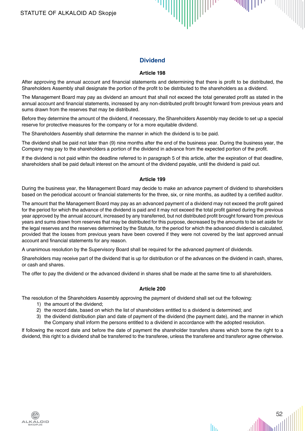

52

Iщ.

#### **Dividend**

#### **Article 198**

After approving the annual account and financial statements and determining that there is profit to be distributed, the Shareholders Assembly shall designate the portion of the profit to be distributed to the shareholders as a dividend.

The Management Board may pay as dividend an amount that shall not exceed the total generated profit as stated in the annual account and financial statements, increased by any non-distributed profit brought forward from previous years and sums drawn from the reserves that may be distributed.

Before they determine the amount of the dividend, if necessary, the Shareholders Assembly may decide to set up a special reserve for protective measures for the company or for a more equitable dividend.

The Shareholders Assembly shall determine the manner in which the dividend is to be paid.

The dividend shall be paid not later than (9) nine months after the end of the business year. During the business year, the Company may pay to the shareholders a portion of the dividend in advance from the expected portion of the profit.

If the dividend is not paid within the deadline referred to in paragraph 5 of this article, after the expiration of that deadline, shareholders shall be paid default interest on the amount of the dividend payable, until the dividend is paid out.

#### **Article 199**

During the business year, the Management Board may decide to make an advance payment of dividend to shareholders based on the periodical account or financial statements for the three, six, or nine months, as audited by a certified auditor.

The amount that the Management Board may pay as an advanced payment of a dividend may not exceed the profit gained for the period for which the advance of the dividend is paid and it may not exceed the total profit gained during the previous year approved by the annual account, increased by any transferred, but not distributed profit brought forward from previous years and sums drawn from reserves that may be distributed for this purpose, decreased by the amounts to be set aside for the legal reserves and the reserves determined by the Statute, for the period for which the advanced dividend is calculated, provided that the losses from previous years have been covered if they were not covered by the last approved annual account and financial statements for any reason.

A unanimous resolution by the Supervisory Board shall be required for the advanced payment of dividends.

Shareholders may receive part of the dividend that is up for distribution or of the advances on the dividend in cash, shares, or cash and shares.

The offer to pay the dividend or the advanced dividend in shares shall be made at the same time to all shareholders.

#### **Article 200**

The resolution of the Shareholders Assembly approving the payment of dividend shall set out the following:

- 1) the amount of the dividend;
- 2) the record date, based on which the list of shareholders entitled to a dividend is determined; and
- 3) the dividend distribution plan and date of payment of the dividend (the payment date), and the manner in which the Company shall inform the persons entitled to a dividend in accordance with the adopted resolution.

If following the record date and before the date of payment the shareholder transfers shares which borne the right to a dividend, this right to a dividend shall be transferred to the transferee, unless the transferee and transferor agree otherwise.

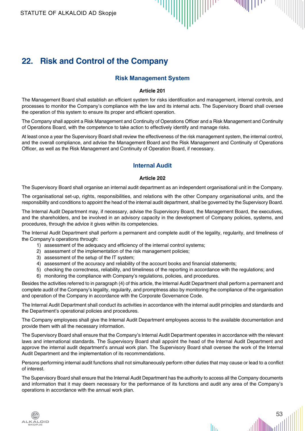

## <span id="page-52-0"></span>**22. Risk and Control of the Company**

#### **Risk Management System**

#### **Article 201**

The Management Board shall establish an efficient system for risks identification and management, internal controls, and processes to monitor the Company's compliance with the law and its internal acts. The Supervisory Board shall oversee the operation of this system to ensure its proper and efficient operation.

The Company shall appoint a Risk Management and Continuity of Operations Officer and a Risk Management and Continuity of Operations Board, with the competence to take action to effectively identify and manage risks.

At least once a year the Supervisory Board shall review the effectiveness of the risk management system, the internal control, and the overall compliance, and advise the Management Board and the Risk Management and Continuity of Operations Officer, as well as the Risk Management and Continuity of Operation Board, if necessary.

#### **Internal Audit**

#### **Article 202**

The Supervisory Board shall organise an internal audit department as an independent organisational unit in the Company.

The organisational set-up, rights, responsibilities, and relations with the other Company organisational units, and the responsibility and conditions to appoint the head of the internal audit department, shall be governed by the Supervisory Board.

The Internal Audit Department may, if necessary, advise the Supervisory Board, the Management Board, the executives, and the shareholders, and be involved in an advisory capacity in the development of Company policies, systems, and procedures, through the advice it gives within its competencies.

The Internal Audit Department shall perform a permanent and complete audit of the legality, regularity, and timeliness of the Company's operations through:

- 1) assessment of the adequacy and efficiency of the internal control systems;
- 2) assessment of the implementation of the risk management policies;
- 3) assessment of the setup of the IT system;
- 4) assessment of the accuracy and reliability of the account books and financial statements;
- 5) checking the correctness, reliability, and timeliness of the reporting in accordance with the regulations; and
- 6) monitoring the compliance with Company's regulations, policies, and procedures.

Besides the activities referred to in paragraph (4) of this article, the Internal Audit Department shall perform a permanent and complete audit of the Company's legality, regularity, and promptness also by monitoring the compliance of the organisation and operation of the Company in accordance with the Corporate Governance Code.

The Internal Audit Department shall conduct its activities in accordance with the internal audit principles and standards and the Department's operational policies and procedures.

The Company employees shall give the Internal Audit Department employees access to the available documentation and provide them with all the necessary information.

The Supervisory Board shall ensure that the Company's Internal Audit Department operates in accordance with the relevant laws and international standards. The Supervisory Board shall appoint the head of the Internal Audit Department and approve the internal audit department's annual work plan. The Supervisory Board shall oversee the work of the Internal Audit Department and the implementation of its recommendations.

Persons performing internal audit functions shall not simultaneously perform other duties that may cause or lead to a conflict of interest.

The Supervisory Board shall ensure that the Internal Audit Department has the authority to access all the Company documents and information that it may deem necessary for the performance of its functions and audit any area of the Company's operations in accordance with the annual work plan.

53

allMa<sub>matt</sub>

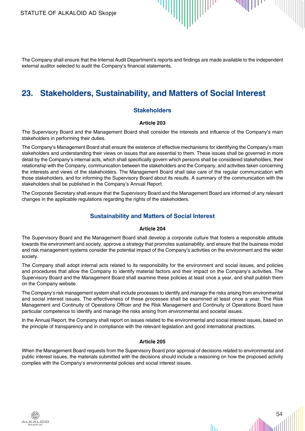<span id="page-53-0"></span>The Company shall ensure that the Internal Audit Department's reports and findings are made available to the independent external auditor selected to audit the Company's financial statements.

## **23. Stakeholders, Sustainability, and Matters of Social Interest**

#### **Stakeholders**

#### **Article 203**

The Supervisory Board and the Management Board shall consider the interests and influence of the Company's main stakeholders in performing their duties.

The Company's Management Board shall ensure the existence of effective mechanisms for identifying the Company's main stakeholders and understanding their views on issues that are essential to them. These issues shall be governed in more detail by the Company's internal acts, which shall specifically govern which persons shall be considered stakeholders, their relationship with the Company, communication between the stakeholders and the Company, and activities taken concerning the interests and views of the stakeholders. The Management Board shall take care of the regular communication with those stakeholders, and for informing the Supervisory Board about its results. A summary of the communication with the stakeholders shall be published in the Company's Annual Report.

The Corporate Secretary shall ensure that the Supervisory Board and the Management Board are informed of any relevant changes in the applicable regulations regarding the rights of the stakeholders.

#### **Sustainability and Matters of Social Interest**

#### **Article 204**

The Supervisory Board and the Management Board shall develop a corporate culture that fosters a responsible attitude towards the environment and society, approve a strategy that promotes sustainability, and ensure that the business model and risk management systems consider the potential impact of the Company's activities on the environment and the wider society.

The Company shall adopt internal acts related to its responsibility for the environment and social issues, and policies and procedures that allow the Company to identify material factors and their impact on the Company's activities. The Supervisory Board and the Management Board shall examine these policies at least once a year, and shall publish them on the Company website.

The Company's risk management system shall include processes to identify and manage the risks arising from environmental and social interest issues. The effectiveness of these processes shall be examined at least once a year. The Risk Management and Continuity of Operations Officer and the Risk Management and Continuity of Operations Board have particular competence to identify and manage the risks arising from environmental and societal issues.

In the Annual Report, the Company shall report on issues related to the environmental and social interest issues, based on the principle of transparency and in compliance with the relevant legislation and good international practices.

#### **Article 205**

When the Management Board requests from the Supervisory Board prior approval of decisions related to environmental and public interest issues, the materials submitted with the decisions should include a reasoning on how the proposed activity complies with the Company's environmental policies and social interest issues.

54

allMa<sub>matt</sub>

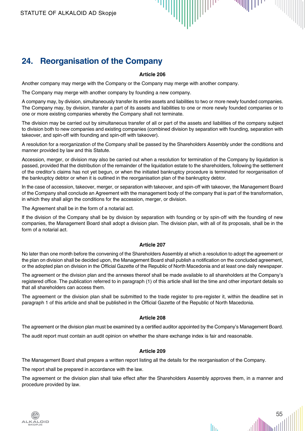# Ч

55

ad Million d

Iщ.

## <span id="page-54-0"></span>**24. Reorganisation of the Company**

#### **Article 206**

Another company may merge with the Company or the Company may merge with another company.

The Company may merge with another company by founding a new company.

A company may, by division, simultaneously transfer its entire assets and liabilities to two or more newly founded companies. The Company may, by division, transfer a part of its assets and liabilities to one or more newly founded companies or to one or more existing companies whereby the Company shall not terminate.

The division may be carried out by simultaneous transfer of all or part of the assets and liabilities of the company subject to division both to new companies and existing companies (combined division by separation with founding, separation with takeover, and spin-off with founding and spin-off with takeover).

A resolution for a reorganization of the Company shall be passed by the Shareholders Assembly under the conditions and manner provided by law and this Statute.

Accession, merger, or division may also be carried out when a resolution for termination of the Company by liquidation is passed, provided that the distribution of the remainder of the liquidation estate to the shareholders, following the settlement of the creditor's claims has not yet begun, or when the initiated bankruptcy procedure is terminated for reorganisation of the bankruptcy debtor or when it is outlined in the reorganisation plan of the bankruptcy debtor.

In the case of accession, takeover, merger, or separation with takeover, and spin-off with takeover, the Management Board of the Company shall conclude an Agreement with the management body of the company that is part of the transformation, in which they shall align the conditions for the accession, merger, or division.

The Agreement shall be in the form of a notarial act.

If the division of the Company shall be by division by separation with founding or by spin-off with the founding of new companies, the Management Board shall adopt a division plan. The division plan, with all of its proposals, shall be in the form of a notarial act.

#### **Article 207**

No later than one month before the convening of the Shareholders Assembly at which a resolution to adopt the agreement or the plan on division shall be decided upon, the Management Board shall publish a notification on the concluded agreement, or the adopted plan on division in the Official Gazette of the Republic of North Macedonia and at least one daily newspaper.

The agreement or the division plan and the annexes thereof shall be made available to all shareholders at the Company's registered office. The publication referred to in paragraph (1) of this article shall list the time and other important details so that all shareholders can access them.

The agreement or the division plan shall be submitted to the trade register to pre-register it, within the deadline set in paragraph 1 of this article and shall be published in the Official Gazette of the Republic of North Macedonia.

#### **Article 208**

The agreement or the division plan must be examined by a certified auditor appointed by the Company's Management Board.

The audit report must contain an audit opinion on whether the share exchange index is fair and reasonable.

#### **Article 209**

The Management Board shall prepare a written report listing all the details for the reorganisation of the Company.

The report shall be prepared in accordance with the law.

The agreement or the division plan shall take effect after the Shareholders Assembly approves them, in a manner and procedure provided by law.

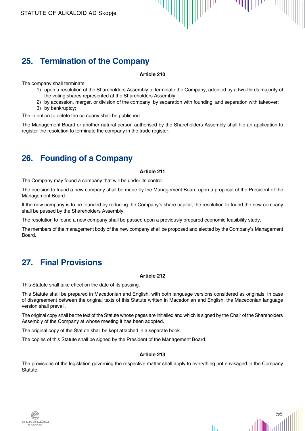## <span id="page-55-0"></span>**25. Termination of the Company**

#### **Article 210**

The company shall terminate:

1) upon a resolution of the Shareholders Assembly to terminate the Company, adopted by a two-thirds majority of the voting shares represented at the Shareholders Assembly;

Ч

Ш

2) by accession, merger, or division of the company, by separation with founding, and separation with takeover; 3) by bankruptcy;

The intention to delete the company shall be published.

The Management Board or another natural person authorised by the Shareholders Assembly shall file an application to register the resolution to terminate the company in the trade register.

## **26. Founding of a Company**

#### **Article 211**

The Company may found a company that will be under its control.

The decision to found a new company shall be made by the Management Board upon a proposal of the President of the Management Board.

If the new company is to be founded by reducing the Company's share capital, the resolution to found the new company shall be passed by the Shareholders Assembly.

The resolution to found a new company shall be passed upon a previously prepared economic feasibility study.

The members of the management body of the new company shall be proposed and elected by the Company's Management Board.

## **27. Final Provisions**

ALKALOID

#### **Article 212**

This Statute shall take effect on the date of its passing.

This Statute shall be prepared in Macedonian and English, with both language versions considered as originals. In case of disagreement between the original texts of this Statute written in Macedonian and English, the Macedonian language version shall prevail.

The original copy shall be the text of the Statute whose pages are initialled and which is signed by the Chair of the Shareholders Assembly of the Company at whose meeting it has been adopted.

The original copy of the Statute shall be kept attached in a separate book.

The copies of this Statute shall be signed by the President of the Management Board.

#### **Article 213**

The provisions of the legislation governing the respective matter shall apply to everything not envisaged in the Company Statute.

56

alllinnar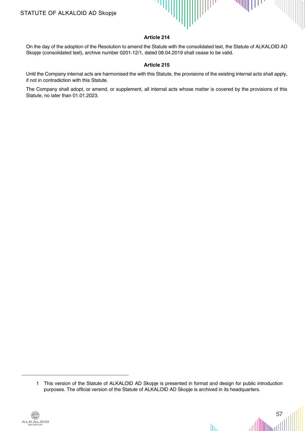STATUTE OF ALKALOID AD Skopje



#### **Article 214**

On the day of the adoption of the Resolution to amend the Statute with the consolidated text, the Statute of ALKALOID AD Skopje (consolidated text), archive number 0201-12/1, dated 08.04.2019 shall cease to be valid.

#### **Article 215**

Until the Company internal acts are harmonised the with this Statute, the provisions of the existing internal acts shall apply, if not in contradiction with this Statute.

The Company shall adopt, or amend, or supplement, all internal acts whose matter is covered by the provisions of this Statute, no later than 01.01.2023.

57

**Alling Allin** 



<sup>1</sup> This version of the Statute of ALKALOID AD Skopje is presented in format and design for public introduction purposes. The official version of the Statute of ALKALOID AD Skopje is archived in its headquarters.